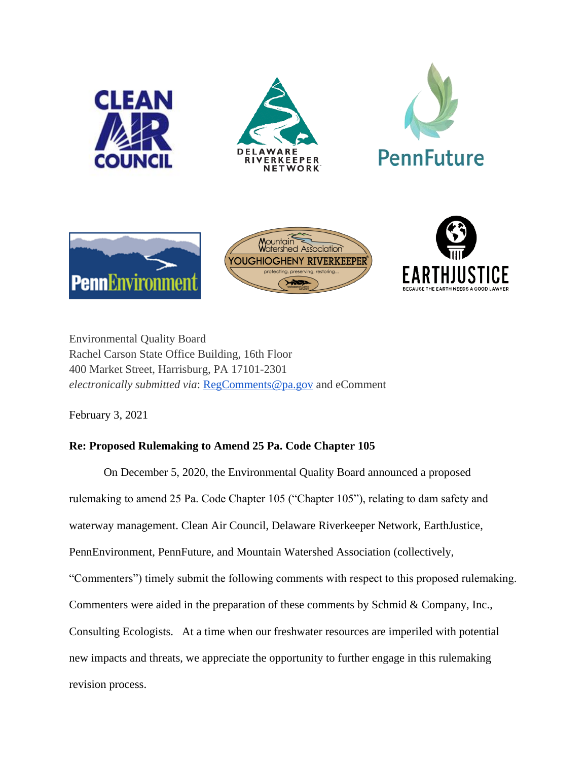







Environmental Quality Board Rachel Carson State Office Building, 16th Floor 400 Market Street, Harrisburg, PA 17101-2301 *electronically submitted via*: [RegComments@pa.gov](mailto:RegComments@pa.gov) and eComment

February 3, 2021

# **Re: Proposed Rulemaking to Amend 25 Pa. Code Chapter 105**

On December 5, 2020, the Environmental Quality Board announced a proposed rulemaking to amend 25 Pa. Code Chapter 105 ("Chapter 105"), relating to dam safety and waterway management. Clean Air Council, Delaware Riverkeeper Network, EarthJustice, PennEnvironment, PennFuture, and Mountain Watershed Association (collectively, "Commenters") timely submit the following comments with respect to this proposed rulemaking. Commenters were aided in the preparation of these comments by Schmid & Company, Inc., Consulting Ecologists. At a time when our freshwater resources are imperiled with potential new impacts and threats, we appreciate the opportunity to further engage in this rulemaking revision process.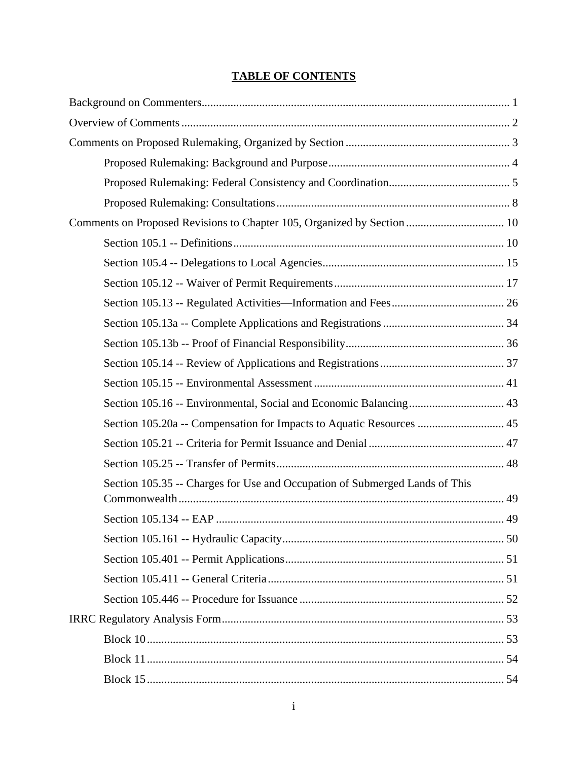# **TABLE OF CONTENTS**

| Comments on Proposed Revisions to Chapter 105, Organized by Section  10     |  |
|-----------------------------------------------------------------------------|--|
|                                                                             |  |
|                                                                             |  |
|                                                                             |  |
|                                                                             |  |
|                                                                             |  |
|                                                                             |  |
|                                                                             |  |
|                                                                             |  |
|                                                                             |  |
| Section 105.20a -- Compensation for Impacts to Aquatic Resources  45        |  |
|                                                                             |  |
|                                                                             |  |
| Section 105.35 -- Charges for Use and Occupation of Submerged Lands of This |  |
|                                                                             |  |
|                                                                             |  |
|                                                                             |  |
|                                                                             |  |
|                                                                             |  |
|                                                                             |  |
|                                                                             |  |
|                                                                             |  |
|                                                                             |  |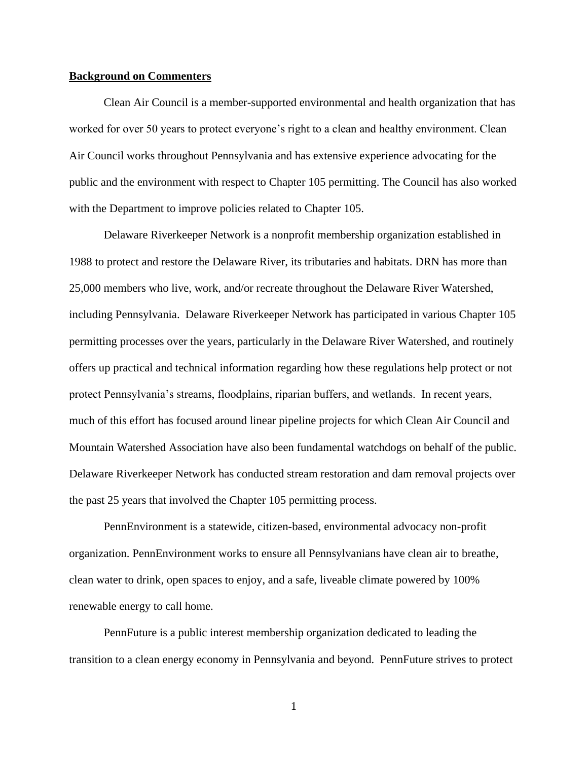#### <span id="page-3-0"></span>**Background on Commenters**

Clean Air Council is a member-supported environmental and health organization that has worked for over 50 years to protect everyone's right to a clean and healthy environment. Clean Air Council works throughout Pennsylvania and has extensive experience advocating for the public and the environment with respect to Chapter 105 permitting. The Council has also worked with the Department to improve policies related to Chapter 105.

Delaware Riverkeeper Network is a nonprofit membership organization established in 1988 to protect and restore the Delaware River, its tributaries and habitats. DRN has more than 25,000 members who live, work, and/or recreate throughout the Delaware River Watershed, including Pennsylvania. Delaware Riverkeeper Network has participated in various Chapter 105 permitting processes over the years, particularly in the Delaware River Watershed, and routinely offers up practical and technical information regarding how these regulations help protect or not protect Pennsylvania's streams, floodplains, riparian buffers, and wetlands. In recent years, much of this effort has focused around linear pipeline projects for which Clean Air Council and Mountain Watershed Association have also been fundamental watchdogs on behalf of the public. Delaware Riverkeeper Network has conducted stream restoration and dam removal projects over the past 25 years that involved the Chapter 105 permitting process.

PennEnvironment is a statewide, citizen-based, environmental advocacy non-profit organization. PennEnvironment works to ensure all Pennsylvanians have clean air to breathe, clean water to drink, open spaces to enjoy, and a safe, liveable climate powered by 100% renewable energy to call home.

PennFuture is a public interest membership organization dedicated to leading the transition to a clean energy economy in Pennsylvania and beyond. PennFuture strives to protect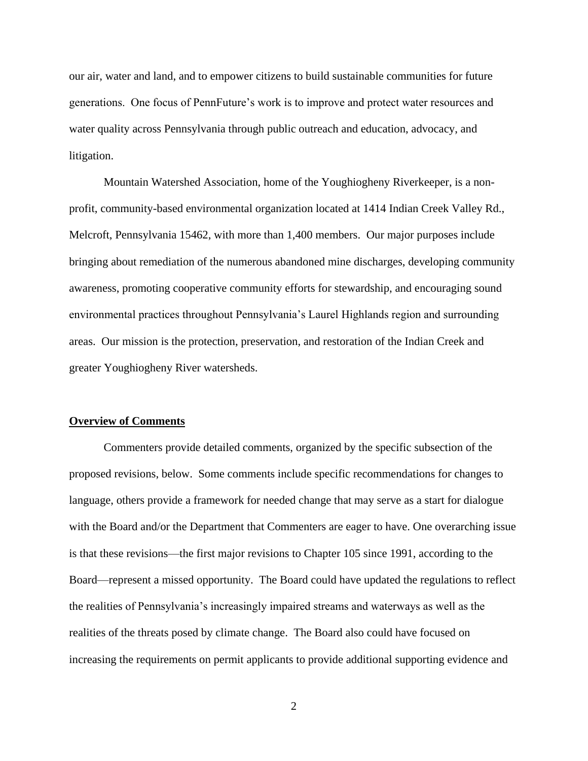our air, water and land, and to empower citizens to build sustainable communities for future generations. One focus of PennFuture's work is to improve and protect water resources and water quality across Pennsylvania through public outreach and education, advocacy, and litigation.

Mountain Watershed Association, home of the Youghiogheny Riverkeeper, is a nonprofit, community-based environmental organization located at 1414 Indian Creek Valley Rd., Melcroft, Pennsylvania 15462, with more than 1,400 members. Our major purposes include bringing about remediation of the numerous abandoned mine discharges, developing community awareness, promoting cooperative community efforts for stewardship, and encouraging sound environmental practices throughout Pennsylvania's Laurel Highlands region and surrounding areas. Our mission is the protection, preservation, and restoration of the Indian Creek and greater Youghiogheny River watersheds.

#### <span id="page-4-0"></span>**Overview of Comments**

Commenters provide detailed comments, organized by the specific subsection of the proposed revisions, below. Some comments include specific recommendations for changes to language, others provide a framework for needed change that may serve as a start for dialogue with the Board and/or the Department that Commenters are eager to have. One overarching issue is that these revisions—the first major revisions to Chapter 105 since 1991, according to the Board—represent a missed opportunity. The Board could have updated the regulations to reflect the realities of Pennsylvania's increasingly impaired streams and waterways as well as the realities of the threats posed by climate change. The Board also could have focused on increasing the requirements on permit applicants to provide additional supporting evidence and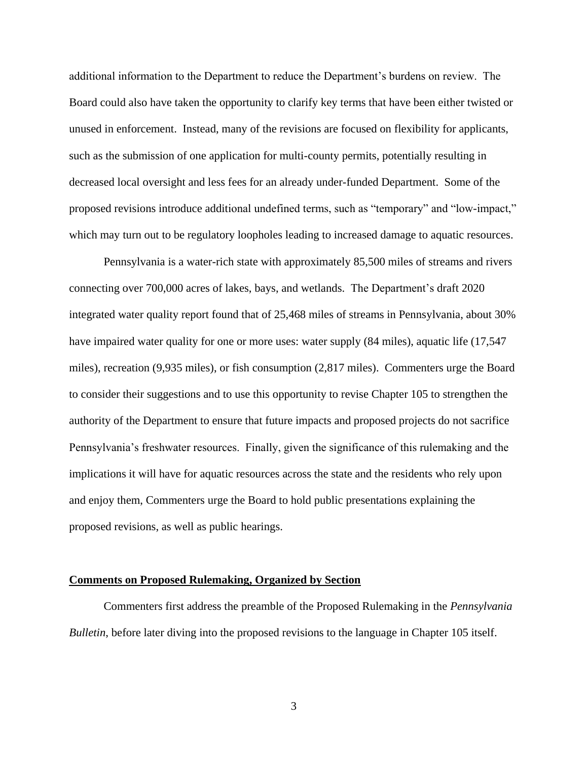additional information to the Department to reduce the Department's burdens on review. The Board could also have taken the opportunity to clarify key terms that have been either twisted or unused in enforcement. Instead, many of the revisions are focused on flexibility for applicants, such as the submission of one application for multi-county permits, potentially resulting in decreased local oversight and less fees for an already under-funded Department. Some of the proposed revisions introduce additional undefined terms, such as "temporary" and "low-impact," which may turn out to be regulatory loopholes leading to increased damage to aquatic resources.

Pennsylvania is a water-rich state with approximately 85,500 miles of streams and rivers connecting over 700,000 acres of lakes, bays, and wetlands. The Department's draft 2020 integrated water quality report found that of 25,468 miles of streams in Pennsylvania, about 30% have impaired water quality for one or more uses: water supply  $(84 \text{ miles})$ , aquatic life  $(17,547)$ miles), recreation (9,935 miles), or fish consumption (2,817 miles). Commenters urge the Board to consider their suggestions and to use this opportunity to revise Chapter 105 to strengthen the authority of the Department to ensure that future impacts and proposed projects do not sacrifice Pennsylvania's freshwater resources. Finally, given the significance of this rulemaking and the implications it will have for aquatic resources across the state and the residents who rely upon and enjoy them, Commenters urge the Board to hold public presentations explaining the proposed revisions, as well as public hearings.

#### <span id="page-5-0"></span>**Comments on Proposed Rulemaking, Organized by Section**

<span id="page-5-1"></span>Commenters first address the preamble of the Proposed Rulemaking in the *Pennsylvania Bulletin*, before later diving into the proposed revisions to the language in Chapter 105 itself.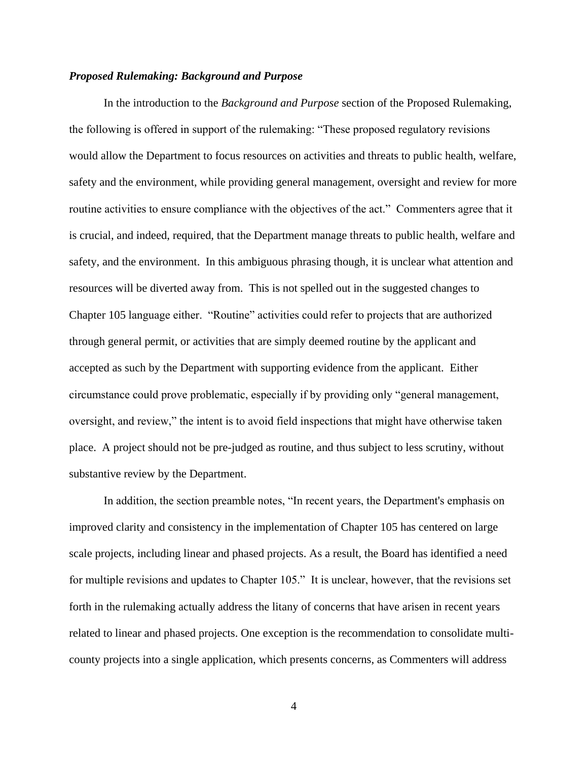#### *Proposed Rulemaking: Background and Purpose*

In the introduction to the *Background and Purpose* section of the Proposed Rulemaking, the following is offered in support of the rulemaking: "These proposed regulatory revisions would allow the Department to focus resources on activities and threats to public health, welfare, safety and the environment, while providing general management, oversight and review for more routine activities to ensure compliance with the objectives of the act." Commenters agree that it is crucial, and indeed, required, that the Department manage threats to public health, welfare and safety, and the environment. In this ambiguous phrasing though, it is unclear what attention and resources will be diverted away from. This is not spelled out in the suggested changes to Chapter 105 language either. "Routine" activities could refer to projects that are authorized through general permit, or activities that are simply deemed routine by the applicant and accepted as such by the Department with supporting evidence from the applicant. Either circumstance could prove problematic, especially if by providing only "general management, oversight, and review," the intent is to avoid field inspections that might have otherwise taken place. A project should not be pre-judged as routine, and thus subject to less scrutiny, without substantive review by the Department.

In addition, the section preamble notes, "In recent years, the Department's emphasis on improved clarity and consistency in the implementation of Chapter 105 has centered on large scale projects, including linear and phased projects. As a result, the Board has identified a need for multiple revisions and updates to Chapter 105." It is unclear, however, that the revisions set forth in the rulemaking actually address the litany of concerns that have arisen in recent years related to linear and phased projects. One exception is the recommendation to consolidate multicounty projects into a single application, which presents concerns, as Commenters will address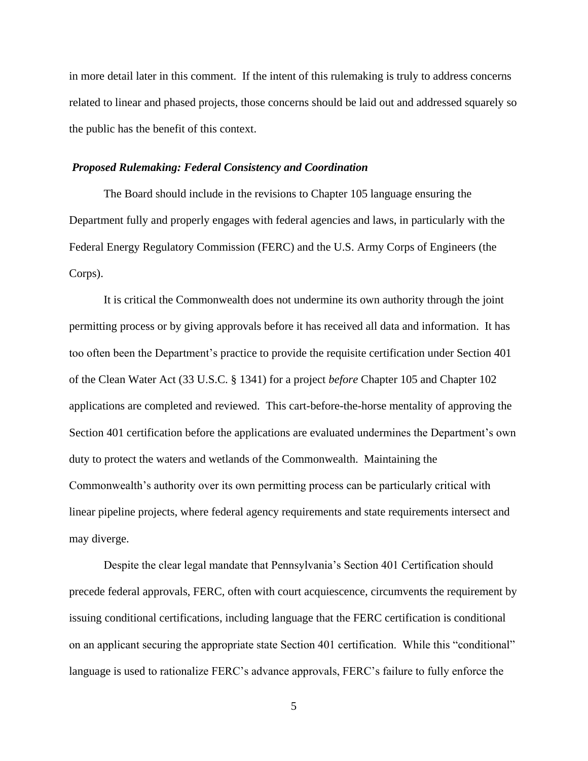in more detail later in this comment. If the intent of this rulemaking is truly to address concerns related to linear and phased projects, those concerns should be laid out and addressed squarely so the public has the benefit of this context.

#### <span id="page-7-0"></span>*Proposed Rulemaking: Federal Consistency and Coordination*

The Board should include in the revisions to Chapter 105 language ensuring the Department fully and properly engages with federal agencies and laws, in particularly with the Federal Energy Regulatory Commission (FERC) and the U.S. Army Corps of Engineers (the Corps).

It is critical the Commonwealth does not undermine its own authority through the joint permitting process or by giving approvals before it has received all data and information. It has too often been the Department's practice to provide the requisite certification under Section 401 of the Clean Water Act (33 U.S.C. § 1341) for a project *before* Chapter 105 and Chapter 102 applications are completed and reviewed. This cart-before-the-horse mentality of approving the Section 401 certification before the applications are evaluated undermines the Department's own duty to protect the waters and wetlands of the Commonwealth. Maintaining the Commonwealth's authority over its own permitting process can be particularly critical with linear pipeline projects, where federal agency requirements and state requirements intersect and may diverge.

Despite the clear legal mandate that Pennsylvania's Section 401 Certification should precede federal approvals, FERC, often with court acquiescence, circumvents the requirement by issuing conditional certifications, including language that the FERC certification is conditional on an applicant securing the appropriate state Section 401 certification. While this "conditional" language is used to rationalize FERC's advance approvals, FERC's failure to fully enforce the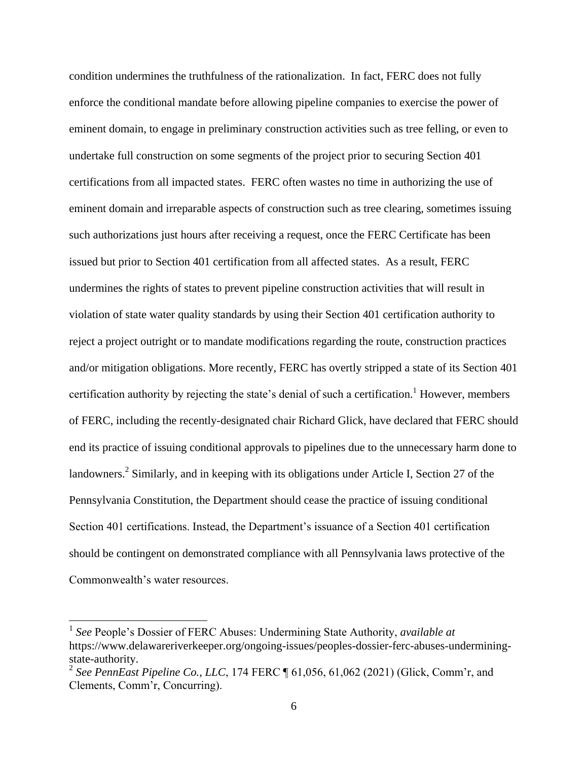condition undermines the truthfulness of the rationalization. In fact, FERC does not fully enforce the conditional mandate before allowing pipeline companies to exercise the power of eminent domain, to engage in preliminary construction activities such as tree felling, or even to undertake full construction on some segments of the project prior to securing Section 401 certifications from all impacted states. FERC often wastes no time in authorizing the use of eminent domain and irreparable aspects of construction such as tree clearing, sometimes issuing such authorizations just hours after receiving a request, once the FERC Certificate has been issued but prior to Section 401 certification from all affected states. As a result, FERC undermines the rights of states to prevent pipeline construction activities that will result in violation of state water quality standards by using their Section 401 certification authority to reject a project outright or to mandate modifications regarding the route, construction practices and/or mitigation obligations. More recently, FERC has overtly stripped a state of its Section 401 certification authority by rejecting the state's denial of such a certification.<sup>1</sup> However, members of FERC, including the recently-designated chair Richard Glick, have declared that FERC should end its practice of issuing conditional approvals to pipelines due to the unnecessary harm done to landowners.<sup>2</sup> Similarly, and in keeping with its obligations under Article I, Section 27 of the Pennsylvania Constitution, the Department should cease the practice of issuing conditional Section 401 certifications. Instead, the Department's issuance of a Section 401 certification should be contingent on demonstrated compliance with all Pennsylvania laws protective of the Commonwealth's water resources.

 1 *See* People's Dossier of FERC Abuses: Undermining State Authority, *available at*  https://www.delawareriverkeeper.org/ongoing-issues/peoples-dossier-ferc-abuses-underminingstate-authority.

<sup>2</sup> *See PennEast Pipeline Co., LLC*, 174 FERC ¶ 61,056, 61,062 (2021) (Glick, Comm'r, and Clements, Comm'r, Concurring).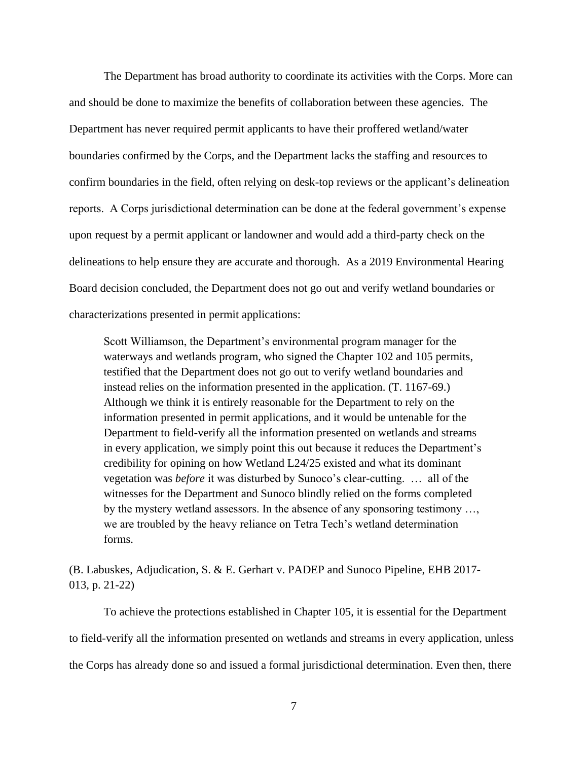The Department has broad authority to coordinate its activities with the Corps. More can and should be done to maximize the benefits of collaboration between these agencies. The Department has never required permit applicants to have their proffered wetland/water boundaries confirmed by the Corps, and the Department lacks the staffing and resources to confirm boundaries in the field, often relying on desk-top reviews or the applicant's delineation reports. A Corps jurisdictional determination can be done at the federal government's expense upon request by a permit applicant or landowner and would add a third-party check on the delineations to help ensure they are accurate and thorough. As a 2019 Environmental Hearing Board decision concluded, the Department does not go out and verify wetland boundaries or characterizations presented in permit applications:

Scott Williamson, the Department's environmental program manager for the waterways and wetlands program, who signed the Chapter 102 and 105 permits, testified that the Department does not go out to verify wetland boundaries and instead relies on the information presented in the application. (T. 1167-69.) Although we think it is entirely reasonable for the Department to rely on the information presented in permit applications, and it would be untenable for the Department to field-verify all the information presented on wetlands and streams in every application, we simply point this out because it reduces the Department's credibility for opining on how Wetland L24/25 existed and what its dominant vegetation was *before* it was disturbed by Sunoco's clear-cutting. … all of the witnesses for the Department and Sunoco blindly relied on the forms completed by the mystery wetland assessors. In the absence of any sponsoring testimony …, we are troubled by the heavy reliance on Tetra Tech's wetland determination forms.

(B. Labuskes, Adjudication, S. & E. Gerhart v. PADEP and Sunoco Pipeline, EHB 2017- 013, p. 21-22)

To achieve the protections established in Chapter 105, it is essential for the Department to field-verify all the information presented on wetlands and streams in every application, unless the Corps has already done so and issued a formal jurisdictional determination. Even then, there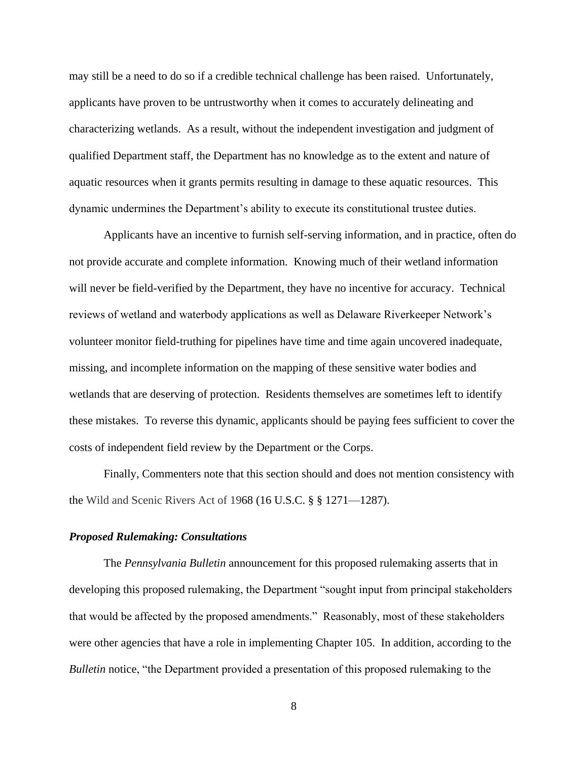may still be a need to do so if a credible technical challenge has been raised. Unfortunately, applicants have proven to be untrustworthy when it comes to accurately delineating and characterizing wetlands. As a result, without the independent investigation and judgment of qualified Department staff, the Department has no knowledge as to the extent and nature of aquatic resources when it grants permits resulting in damage to these aquatic resources. This dynamic undermines the Department's ability to execute its constitutional trustee duties.

Applicants have an incentive to furnish self-serving information, and in practice, often do not provide accurate and complete information. Knowing much of their wetland information will never be field-verified by the Department, they have no incentive for accuracy. Technical reviews of wetland and waterbody applications as well as Delaware Riverkeeper Network's volunteer monitor field-truthing for pipelines have time and time again uncovered inadequate, missing, and incomplete information on the mapping of these sensitive water bodies and wetlands that are deserving of protection. Residents themselves are sometimes left to identify these mistakes. To reverse this dynamic, applicants should be paying fees sufficient to cover the costs of independent field review by the Department or the Corps.

Finally, Commenters note that this section should and does not mention consistency with the Wild and Scenic Rivers Act of 1968 [\(16 U.S.C.](https://www.law.cornell.edu/uscode/text/16) § § 1271—1287).

## <span id="page-10-0"></span>*Proposed Rulemaking: Consultations*

The *Pennsylvania Bulletin* announcement for this proposed rulemaking asserts that in developing this proposed rulemaking, the Department "sought input from principal stakeholders that would be affected by the proposed amendments." Reasonably, most of these stakeholders were other agencies that have a role in implementing Chapter 105. In addition, according to the *Bulletin* notice, "the Department provided a presentation of this proposed rulemaking to the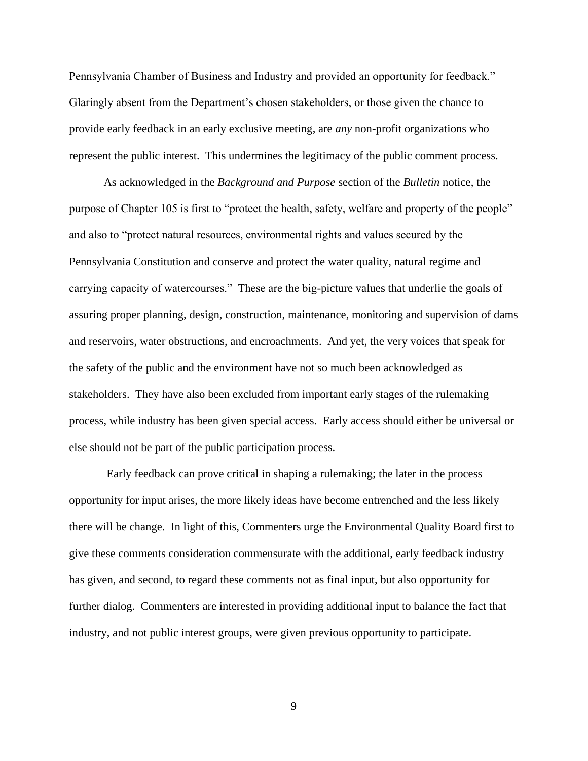Pennsylvania Chamber of Business and Industry and provided an opportunity for feedback." Glaringly absent from the Department's chosen stakeholders, or those given the chance to provide early feedback in an early exclusive meeting, are *any* non-profit organizations who represent the public interest. This undermines the legitimacy of the public comment process.

As acknowledged in the *Background and Purpose* section of the *Bulletin* notice, the purpose of Chapter 105 is first to "protect the health, safety, welfare and property of the people" and also to "protect natural resources, environmental rights and values secured by the Pennsylvania Constitution and conserve and protect the water quality, natural regime and carrying capacity of watercourses." These are the big-picture values that underlie the goals of assuring proper planning, design, construction, maintenance, monitoring and supervision of dams and reservoirs, water obstructions, and encroachments. And yet, the very voices that speak for the safety of the public and the environment have not so much been acknowledged as stakeholders. They have also been excluded from important early stages of the rulemaking process, while industry has been given special access. Early access should either be universal or else should not be part of the public participation process.

Early feedback can prove critical in shaping a rulemaking; the later in the process opportunity for input arises, the more likely ideas have become entrenched and the less likely there will be change. In light of this, Commenters urge the Environmental Quality Board first to give these comments consideration commensurate with the additional, early feedback industry has given, and second, to regard these comments not as final input, but also opportunity for further dialog. Commenters are interested in providing additional input to balance the fact that industry, and not public interest groups, were given previous opportunity to participate.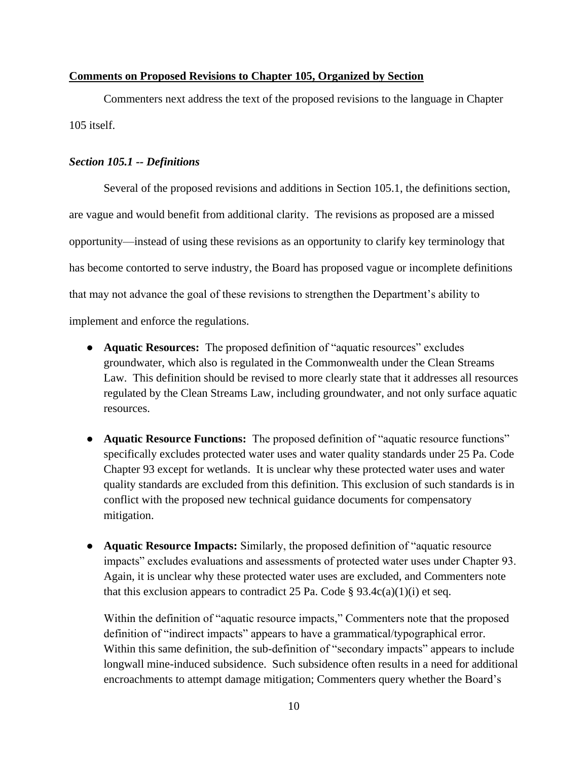## <span id="page-12-0"></span>**Comments on Proposed Revisions to Chapter 105, Organized by Section**

Commenters next address the text of the proposed revisions to the language in Chapter 105 itself.

#### <span id="page-12-1"></span>*Section 105.1 -- Definitions*

Several of the proposed revisions and additions in Section 105.1, the definitions section, are vague and would benefit from additional clarity. The revisions as proposed are a missed opportunity—instead of using these revisions as an opportunity to clarify key terminology that has become contorted to serve industry, the Board has proposed vague or incomplete definitions that may not advance the goal of these revisions to strengthen the Department's ability to implement and enforce the regulations.

- **Aquatic Resources:** The proposed definition of "aquatic resources" excludes groundwater, which also is regulated in the Commonwealth under the Clean Streams Law. This definition should be revised to more clearly state that it addresses all resources regulated by the Clean Streams Law, including groundwater, and not only surface aquatic resources.
- **Aquatic Resource Functions:** The proposed definition of "aquatic resource functions" specifically excludes protected water uses and water quality standards under 25 Pa. Code Chapter 93 except for wetlands. It is unclear why these protected water uses and water quality standards are excluded from this definition. This exclusion of such standards is in conflict with the proposed new technical guidance documents for compensatory mitigation.
- **Aquatic Resource Impacts:** Similarly, the proposed definition of "aquatic resource impacts" excludes evaluations and assessments of protected water uses under Chapter 93. Again, it is unclear why these protected water uses are excluded, and Commenters note that this exclusion appears to contradict 25 Pa. Code  $\S$  93.4c(a)(1)(i) et seq.

Within the definition of "aquatic resource impacts," Commenters note that the proposed definition of "indirect impacts" appears to have a grammatical/typographical error. Within this same definition, the sub-definition of "secondary impacts" appears to include longwall mine-induced subsidence. Such subsidence often results in a need for additional encroachments to attempt damage mitigation; Commenters query whether the Board's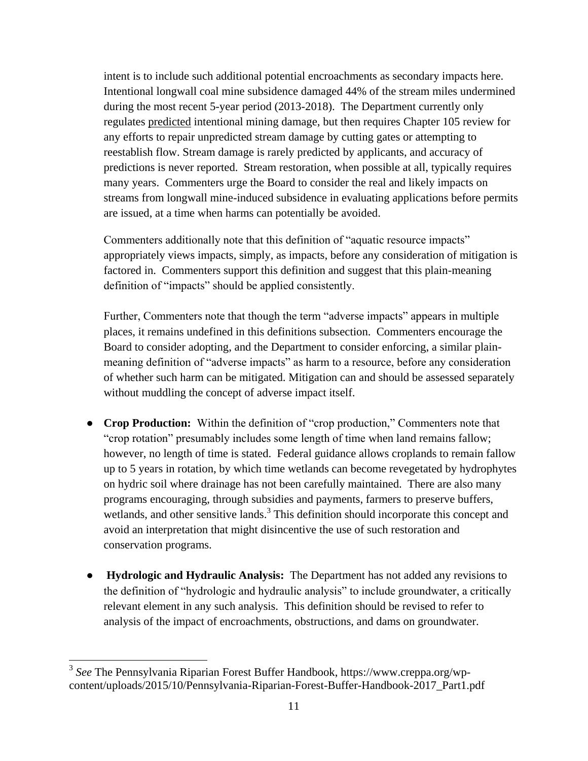intent is to include such additional potential encroachments as secondary impacts here. Intentional longwall coal mine subsidence damaged 44% of the stream miles undermined during the most recent 5-year period (2013-2018). The Department currently only regulates predicted intentional mining damage, but then requires Chapter 105 review for any efforts to repair unpredicted stream damage by cutting gates or attempting to reestablish flow. Stream damage is rarely predicted by applicants, and accuracy of predictions is never reported. Stream restoration, when possible at all, typically requires many years. Commenters urge the Board to consider the real and likely impacts on streams from longwall mine-induced subsidence in evaluating applications before permits are issued, at a time when harms can potentially be avoided.

Commenters additionally note that this definition of "aquatic resource impacts" appropriately views impacts, simply, as impacts, before any consideration of mitigation is factored in. Commenters support this definition and suggest that this plain-meaning definition of "impacts" should be applied consistently.

Further, Commenters note that though the term "adverse impacts" appears in multiple places, it remains undefined in this definitions subsection. Commenters encourage the Board to consider adopting, and the Department to consider enforcing, a similar plainmeaning definition of "adverse impacts" as harm to a resource, before any consideration of whether such harm can be mitigated. Mitigation can and should be assessed separately without muddling the concept of adverse impact itself.

- **Crop Production:** Within the definition of "crop production," Commenters note that "crop rotation" presumably includes some length of time when land remains fallow; however, no length of time is stated. Federal guidance allows croplands to remain fallow up to 5 years in rotation, by which time wetlands can become revegetated by hydrophytes on hydric soil where drainage has not been carefully maintained. There are also many programs encouraging, through subsidies and payments, farmers to preserve buffers, wetlands, and other sensitive lands.<sup>3</sup> This definition should incorporate this concept and avoid an interpretation that might disincentive the use of such restoration and conservation programs.
- **Hydrologic and Hydraulic Analysis:** The Department has not added any revisions to the definition of "hydrologic and hydraulic analysis" to include groundwater, a critically relevant element in any such analysis. This definition should be revised to refer to analysis of the impact of encroachments, obstructions, and dams on groundwater.

<sup>3</sup> *See* The Pennsylvania Riparian Forest Buffer Handbook, https://www.creppa.org/wpcontent/uploads/2015/10/Pennsylvania-Riparian-Forest-Buffer-Handbook-2017\_Part1.pdf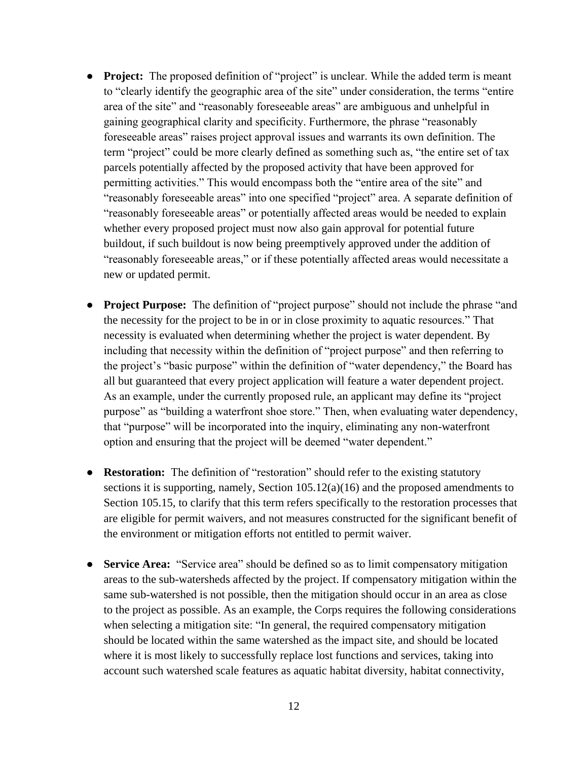- **Project:** The proposed definition of "project" is unclear. While the added term is meant to "clearly identify the geographic area of the site" under consideration, the terms "entire area of the site" and "reasonably foreseeable areas" are ambiguous and unhelpful in gaining geographical clarity and specificity. Furthermore, the phrase "reasonably foreseeable areas" raises project approval issues and warrants its own definition. The term "project" could be more clearly defined as something such as, "the entire set of tax parcels potentially affected by the proposed activity that have been approved for permitting activities." This would encompass both the "entire area of the site" and "reasonably foreseeable areas" into one specified "project" area. A separate definition of "reasonably foreseeable areas" or potentially affected areas would be needed to explain whether every proposed project must now also gain approval for potential future buildout, if such buildout is now being preemptively approved under the addition of "reasonably foreseeable areas," or if these potentially affected areas would necessitate a new or updated permit.
- **Project Purpose:** The definition of "project purpose" should not include the phrase "and the necessity for the project to be in or in close proximity to aquatic resources." That necessity is evaluated when determining whether the project is water dependent. By including that necessity within the definition of "project purpose" and then referring to the project's "basic purpose" within the definition of "water dependency," the Board has all but guaranteed that every project application will feature a water dependent project. As an example, under the currently proposed rule, an applicant may define its "project purpose" as "building a waterfront shoe store." Then, when evaluating water dependency, that "purpose" will be incorporated into the inquiry, eliminating any non-waterfront option and ensuring that the project will be deemed "water dependent."
- **Restoration:** The definition of "restoration" should refer to the existing statutory sections it is supporting, namely, Section  $105.12(a)(16)$  and the proposed amendments to Section 105.15, to clarify that this term refers specifically to the restoration processes that are eligible for permit waivers, and not measures constructed for the significant benefit of the environment or mitigation efforts not entitled to permit waiver.
- **Service Area:** "Service area" should be defined so as to limit compensatory mitigation areas to the sub-watersheds affected by the project. If compensatory mitigation within the same sub-watershed is not possible, then the mitigation should occur in an area as close to the project as possible. As an example, the Corps requires the following considerations when selecting a mitigation site: "In general, the required compensatory mitigation should be located within the same watershed as the impact site, and should be located where it is most likely to successfully replace lost functions and services, taking into account such watershed scale features as aquatic habitat diversity, habitat connectivity,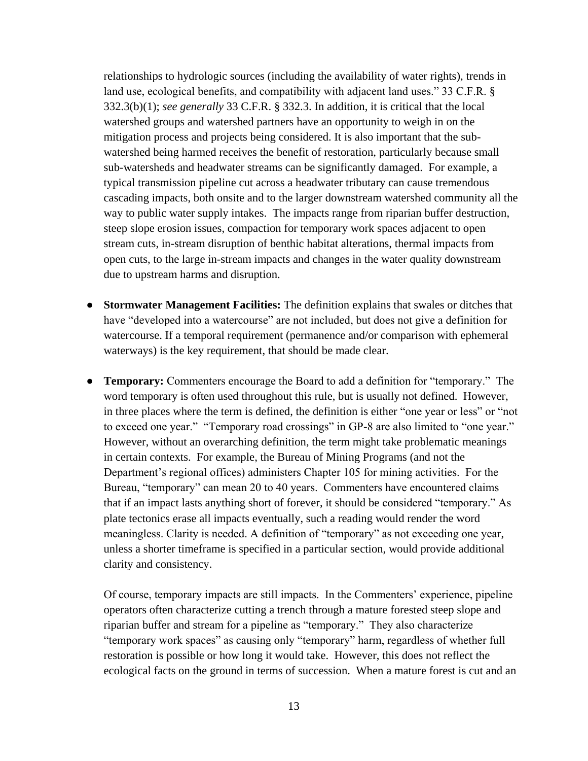relationships to hydrologic sources (including the availability of water rights), trends in land use, ecological benefits, and compatibility with adjacent land uses." 33 C.F.R. § 332.3(b)(1); *see generally* 33 C.F.R. § 332.3. In addition, it is critical that the local watershed groups and watershed partners have an opportunity to weigh in on the mitigation process and projects being considered. It is also important that the subwatershed being harmed receives the benefit of restoration, particularly because small sub-watersheds and headwater streams can be significantly damaged. For example, a typical transmission pipeline cut across a headwater tributary can cause tremendous cascading impacts, both onsite and to the larger downstream watershed community all the way to public water supply intakes. The impacts range from riparian buffer destruction, steep slope erosion issues, compaction for temporary work spaces adjacent to open stream cuts, in-stream disruption of benthic habitat alterations, thermal impacts from open cuts, to the large in-stream impacts and changes in the water quality downstream due to upstream harms and disruption.

- **Stormwater Management Facilities:** The definition explains that swales or ditches that have "developed into a watercourse" are not included, but does not give a definition for watercourse. If a temporal requirement (permanence and/or comparison with ephemeral waterways) is the key requirement, that should be made clear.
- **Temporary:** Commenters encourage the Board to add a definition for "temporary." The word temporary is often used throughout this rule, but is usually not defined. However, in three places where the term is defined, the definition is either "one year or less" or "not to exceed one year." "Temporary road crossings" in GP-8 are also limited to "one year." However, without an overarching definition, the term might take problematic meanings in certain contexts. For example, the Bureau of Mining Programs (and not the Department's regional offices) administers Chapter 105 for mining activities. For the Bureau, "temporary" can mean 20 to 40 years. Commenters have encountered claims that if an impact lasts anything short of forever, it should be considered "temporary." As plate tectonics erase all impacts eventually, such a reading would render the word meaningless. Clarity is needed. A definition of "temporary" as not exceeding one year, unless a shorter timeframe is specified in a particular section, would provide additional clarity and consistency.

Of course, temporary impacts are still impacts. In the Commenters' experience, pipeline operators often characterize cutting a trench through a mature forested steep slope and riparian buffer and stream for a pipeline as "temporary." They also characterize "temporary work spaces" as causing only "temporary" harm, regardless of whether full restoration is possible or how long it would take. However, this does not reflect the ecological facts on the ground in terms of succession. When a mature forest is cut and an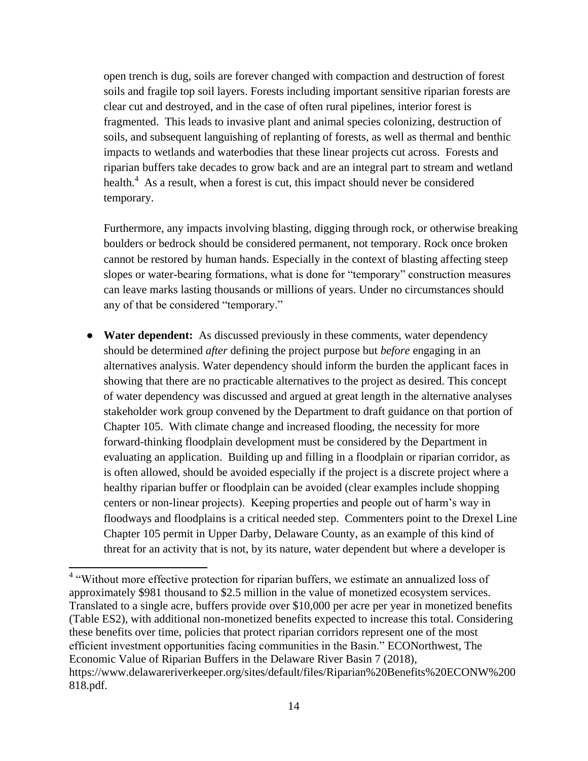open trench is dug, soils are forever changed with compaction and destruction of forest soils and fragile top soil layers. Forests including important sensitive riparian forests are clear cut and destroyed, and in the case of often rural pipelines, interior forest is fragmented. This leads to invasive plant and animal species colonizing, destruction of soils, and subsequent languishing of replanting of forests, as well as thermal and benthic impacts to wetlands and waterbodies that these linear projects cut across. Forests and riparian buffers take decades to grow back and are an integral part to stream and wetland health. $4$  As a result, when a forest is cut, this impact should never be considered temporary.

Furthermore, any impacts involving blasting, digging through rock, or otherwise breaking boulders or bedrock should be considered permanent, not temporary. Rock once broken cannot be restored by human hands. Especially in the context of blasting affecting steep slopes or water-bearing formations, what is done for "temporary" construction measures can leave marks lasting thousands or millions of years. Under no circumstances should any of that be considered "temporary."

● **Water dependent:** As discussed previously in these comments, water dependency should be determined *after* defining the project purpose but *before* engaging in an alternatives analysis. Water dependency should inform the burden the applicant faces in showing that there are no practicable alternatives to the project as desired. This concept of water dependency was discussed and argued at great length in the alternative analyses stakeholder work group convened by the Department to draft guidance on that portion of Chapter 105. With climate change and increased flooding, the necessity for more forward-thinking floodplain development must be considered by the Department in evaluating an application. Building up and filling in a floodplain or riparian corridor, as is often allowed, should be avoided especially if the project is a discrete project where a healthy riparian buffer or floodplain can be avoided (clear examples include shopping centers or non-linear projects). Keeping properties and people out of harm's way in floodways and floodplains is a critical needed step. Commenters point to the Drexel Line Chapter 105 permit in Upper Darby, Delaware County, as an example of this kind of threat for an activity that is not, by its nature, water dependent but where a developer is

 4 "Without more effective protection for riparian buffers, we estimate an annualized loss of approximately \$981 thousand to \$2.5 million in the value of monetized ecosystem services. Translated to a single acre, buffers provide over \$10,000 per acre per year in monetized benefits (Table ES2), with additional non-monetized benefits expected to increase this total. Considering these benefits over time, policies that protect riparian corridors represent one of the most efficient investment opportunities facing communities in the Basin." ECONorthwest, The Economic Value of Riparian Buffers in the Delaware River Basin 7 (2018), https://www.delawareriverkeeper.org/sites/default/files/Riparian%20Benefits%20ECONW%200 818.pdf.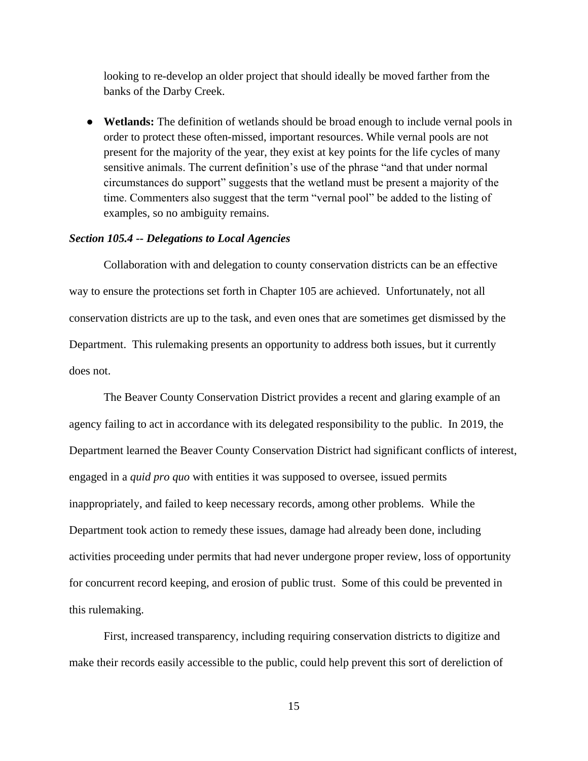looking to re-develop an older project that should ideally be moved farther from the banks of the Darby Creek.

● **Wetlands:** The definition of wetlands should be broad enough to include vernal pools in order to protect these often-missed, important resources. While vernal pools are not present for the majority of the year, they exist at key points for the life cycles of many sensitive animals. The current definition's use of the phrase "and that under normal circumstances do support" suggests that the wetland must be present a majority of the time. Commenters also suggest that the term "vernal pool" be added to the listing of examples, so no ambiguity remains.

#### <span id="page-17-0"></span>*Section 105.4 -- Delegations to Local Agencies*

Collaboration with and delegation to county conservation districts can be an effective way to ensure the protections set forth in Chapter 105 are achieved. Unfortunately, not all conservation districts are up to the task, and even ones that are sometimes get dismissed by the Department. This rulemaking presents an opportunity to address both issues, but it currently does not.

The Beaver County Conservation District provides a recent and glaring example of an agency failing to act in accordance with its delegated responsibility to the public. In 2019, the Department learned the Beaver County Conservation District had significant conflicts of interest, engaged in a *quid pro quo* with entities it was supposed to oversee, issued permits inappropriately, and failed to keep necessary records, among other problems. While the Department took action to remedy these issues, damage had already been done, including activities proceeding under permits that had never undergone proper review, loss of opportunity for concurrent record keeping, and erosion of public trust. Some of this could be prevented in this rulemaking.

First, increased transparency, including requiring conservation districts to digitize and make their records easily accessible to the public, could help prevent this sort of dereliction of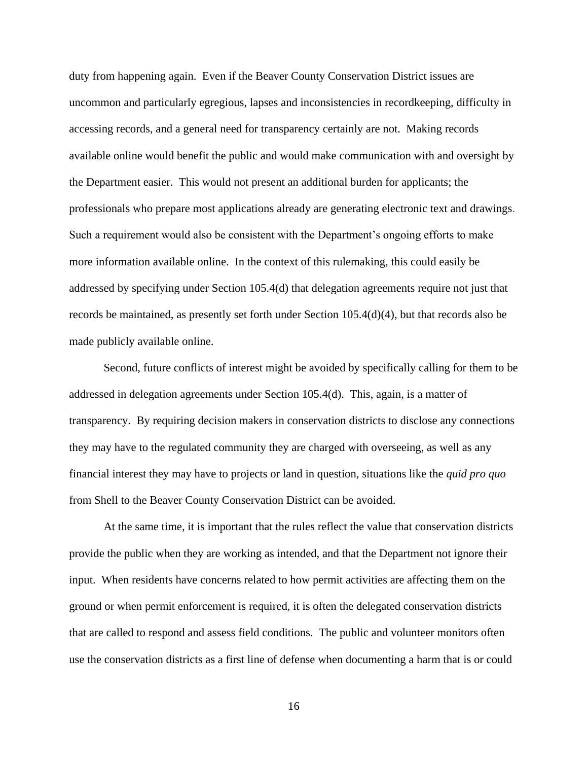duty from happening again. Even if the Beaver County Conservation District issues are uncommon and particularly egregious, lapses and inconsistencies in recordkeeping, difficulty in accessing records, and a general need for transparency certainly are not. Making records available online would benefit the public and would make communication with and oversight by the Department easier. This would not present an additional burden for applicants; the professionals who prepare most applications already are generating electronic text and drawings. Such a requirement would also be consistent with the Department's ongoing efforts to make more information available online. In the context of this rulemaking, this could easily be addressed by specifying under Section 105.4(d) that delegation agreements require not just that records be maintained, as presently set forth under Section 105.4(d)(4), but that records also be made publicly available online.

Second, future conflicts of interest might be avoided by specifically calling for them to be addressed in delegation agreements under Section 105.4(d). This, again, is a matter of transparency. By requiring decision makers in conservation districts to disclose any connections they may have to the regulated community they are charged with overseeing, as well as any financial interest they may have to projects or land in question, situations like the *quid pro quo* from Shell to the Beaver County Conservation District can be avoided.

At the same time, it is important that the rules reflect the value that conservation districts provide the public when they are working as intended, and that the Department not ignore their input. When residents have concerns related to how permit activities are affecting them on the ground or when permit enforcement is required, it is often the delegated conservation districts that are called to respond and assess field conditions. The public and volunteer monitors often use the conservation districts as a first line of defense when documenting a harm that is or could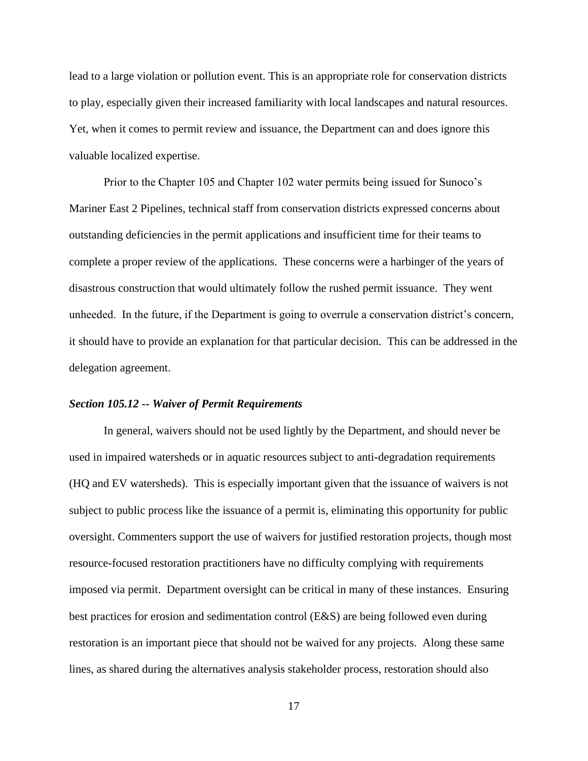lead to a large violation or pollution event. This is an appropriate role for conservation districts to play, especially given their increased familiarity with local landscapes and natural resources. Yet, when it comes to permit review and issuance, the Department can and does ignore this valuable localized expertise.

Prior to the Chapter 105 and Chapter 102 water permits being issued for Sunoco's Mariner East 2 Pipelines, technical staff from conservation districts expressed concerns about outstanding deficiencies in the permit applications and insufficient time for their teams to complete a proper review of the applications. These concerns were a harbinger of the years of disastrous construction that would ultimately follow the rushed permit issuance. They went unheeded. In the future, if the Department is going to overrule a conservation district's concern, it should have to provide an explanation for that particular decision. This can be addressed in the delegation agreement.

#### <span id="page-19-0"></span>*Section 105.12 -- Waiver of Permit Requirements*

In general, waivers should not be used lightly by the Department, and should never be used in impaired watersheds or in aquatic resources subject to anti-degradation requirements (HQ and EV watersheds). This is especially important given that the issuance of waivers is not subject to public process like the issuance of a permit is, eliminating this opportunity for public oversight. Commenters support the use of waivers for justified restoration projects, though most resource-focused restoration practitioners have no difficulty complying with requirements imposed via permit. Department oversight can be critical in many of these instances. Ensuring best practices for erosion and sedimentation control (E&S) are being followed even during restoration is an important piece that should not be waived for any projects. Along these same lines, as shared during the alternatives analysis stakeholder process, restoration should also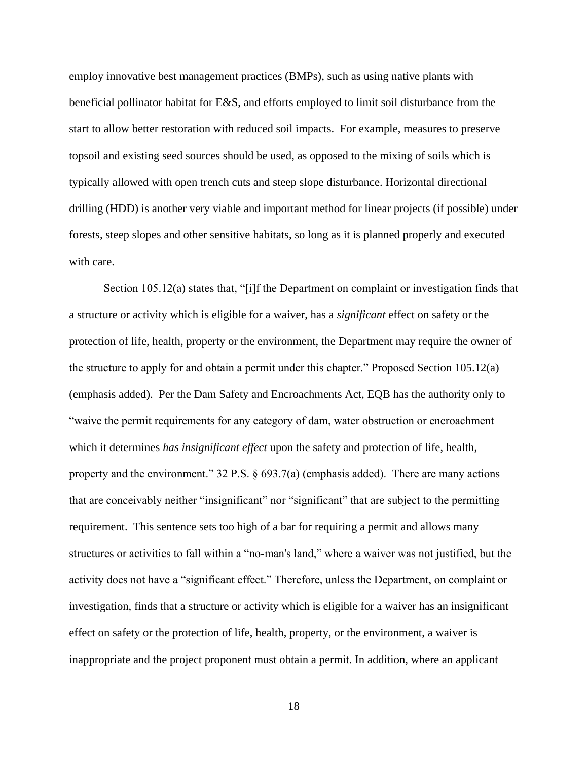employ innovative best management practices (BMPs), such as using native plants with beneficial pollinator habitat for E&S, and efforts employed to limit soil disturbance from the start to allow better restoration with reduced soil impacts. For example, measures to preserve topsoil and existing seed sources should be used, as opposed to the mixing of soils which is typically allowed with open trench cuts and steep slope disturbance. Horizontal directional drilling (HDD) is another very viable and important method for linear projects (if possible) under forests, steep slopes and other sensitive habitats, so long as it is planned properly and executed with care.

Section 105.12(a) states that, "[i]f the Department on complaint or investigation finds that a structure or activity which is eligible for a waiver, has a *significant* effect on safety or the protection of life, health, property or the environment, the Department may require the owner of the structure to apply for and obtain a permit under this chapter." Proposed Section 105.12(a) (emphasis added). Per the Dam Safety and Encroachments Act, EQB has the authority only to "waive the permit requirements for any category of dam, water obstruction or encroachment which it determines *has insignificant effect* upon the safety and protection of life, health, property and the environment."  $32$  P.S.  $\S$  693.7(a) (emphasis added). There are many actions that are conceivably neither "insignificant" nor "significant" that are subject to the permitting requirement. This sentence sets too high of a bar for requiring a permit and allows many structures or activities to fall within a "no-man's land," where a waiver was not justified, but the activity does not have a "significant effect." Therefore, unless the Department, on complaint or investigation, finds that a structure or activity which is eligible for a waiver has an insignificant effect on safety or the protection of life, health, property, or the environment, a waiver is inappropriate and the project proponent must obtain a permit. In addition, where an applicant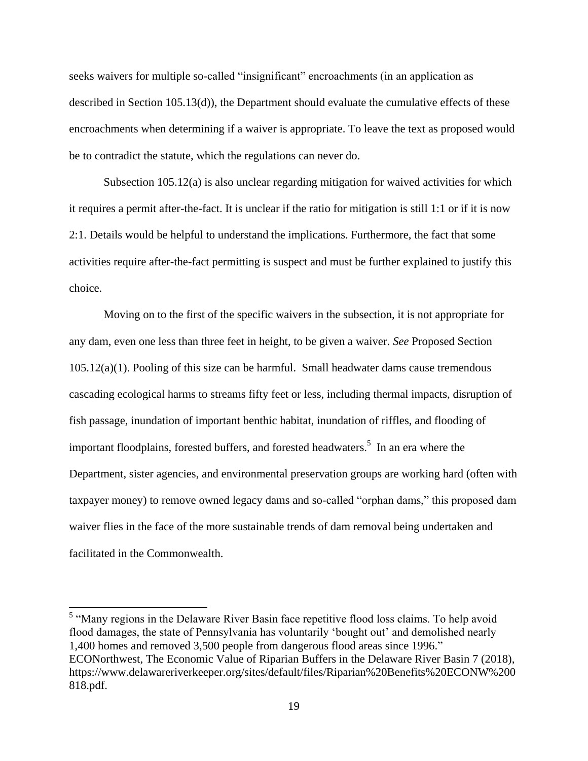seeks waivers for multiple so-called "insignificant" encroachments (in an application as described in Section 105.13(d)), the Department should evaluate the cumulative effects of these encroachments when determining if a waiver is appropriate. To leave the text as proposed would be to contradict the statute, which the regulations can never do.

Subsection 105.12(a) is also unclear regarding mitigation for waived activities for which it requires a permit after-the-fact. It is unclear if the ratio for mitigation is still 1:1 or if it is now 2:1. Details would be helpful to understand the implications. Furthermore, the fact that some activities require after-the-fact permitting is suspect and must be further explained to justify this choice.

Moving on to the first of the specific waivers in the subsection, it is not appropriate for any dam, even one less than three feet in height, to be given a waiver. *See* Proposed Section  $105.12(a)(1)$ . Pooling of this size can be harmful. Small headwater dams cause tremendous cascading ecological harms to streams fifty feet or less, including thermal impacts, disruption of fish passage, inundation of important benthic habitat, inundation of riffles, and flooding of important floodplains, forested buffers, and forested headwaters. 5 In an era where the Department, sister agencies, and environmental preservation groups are working hard (often with taxpayer money) to remove owned legacy dams and so-called "orphan dams," this proposed dam waiver flies in the face of the more sustainable trends of dam removal being undertaken and facilitated in the Commonwealth.

 $\overline{a}$ 

<sup>&</sup>lt;sup>5</sup> "Many regions in the Delaware River Basin face repetitive flood loss claims. To help avoid flood damages, the state of Pennsylvania has voluntarily 'bought out' and demolished nearly 1,400 homes and removed 3,500 people from dangerous flood areas since 1996." ECONorthwest, The Economic Value of Riparian Buffers in the Delaware River Basin 7 (2018), https://www.delawareriverkeeper.org/sites/default/files/Riparian%20Benefits%20ECONW%200 818.pdf.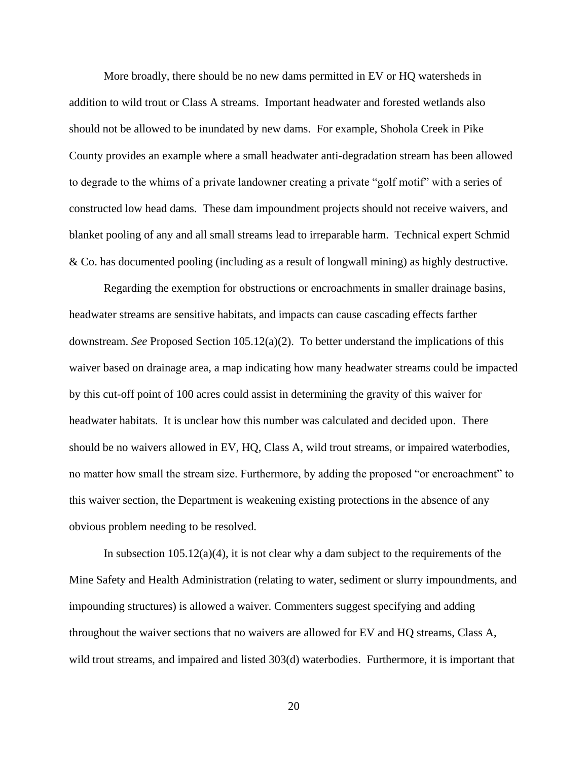More broadly, there should be no new dams permitted in EV or HQ watersheds in addition to wild trout or Class A streams. Important headwater and forested wetlands also should not be allowed to be inundated by new dams. For example, Shohola Creek in Pike County provides an example where a small headwater anti-degradation stream has been allowed to degrade to the whims of a private landowner creating a private "golf motif" with a series of constructed low head dams. These dam impoundment projects should not receive waivers, and blanket pooling of any and all small streams lead to irreparable harm. Technical expert Schmid & Co. has documented pooling (including as a result of longwall mining) as highly destructive.

Regarding the exemption for obstructions or encroachments in smaller drainage basins, headwater streams are sensitive habitats, and impacts can cause cascading effects farther downstream. *See* Proposed Section 105.12(a)(2). To better understand the implications of this waiver based on drainage area, a map indicating how many headwater streams could be impacted by this cut-off point of 100 acres could assist in determining the gravity of this waiver for headwater habitats. It is unclear how this number was calculated and decided upon. There should be no waivers allowed in EV, HQ, Class A, wild trout streams, or impaired waterbodies, no matter how small the stream size. Furthermore, by adding the proposed "or encroachment" to this waiver section, the Department is weakening existing protections in the absence of any obvious problem needing to be resolved.

In subsection  $105.12(a)(4)$ , it is not clear why a dam subject to the requirements of the Mine Safety and Health Administration (relating to water, sediment or slurry impoundments, and impounding structures) is allowed a waiver. Commenters suggest specifying and adding throughout the waiver sections that no waivers are allowed for EV and HQ streams, Class A, wild trout streams, and impaired and listed 303(d) waterbodies. Furthermore, it is important that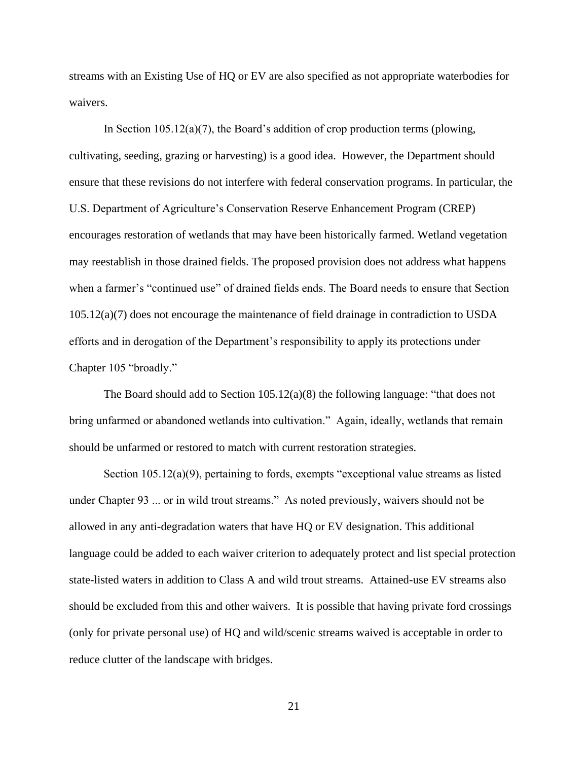streams with an Existing Use of HQ or EV are also specified as not appropriate waterbodies for waivers.

In Section  $105.12(a)(7)$ , the Board's addition of crop production terms (plowing, cultivating, seeding, grazing or harvesting) is a good idea. However, the Department should ensure that these revisions do not interfere with federal conservation programs. In particular, the U.S. Department of Agriculture's Conservation Reserve Enhancement Program (CREP) encourages restoration of wetlands that may have been historically farmed. Wetland vegetation may reestablish in those drained fields. The proposed provision does not address what happens when a farmer's "continued use" of drained fields ends. The Board needs to ensure that Section 105.12(a)(7) does not encourage the maintenance of field drainage in contradiction to USDA efforts and in derogation of the Department's responsibility to apply its protections under Chapter 105 "broadly."

The Board should add to Section 105.12(a)(8) the following language: "that does not bring unfarmed or abandoned wetlands into cultivation." Again, ideally, wetlands that remain should be unfarmed or restored to match with current restoration strategies.

Section 105.12(a)(9), pertaining to fords, exempts "exceptional value streams as listed under Chapter 93 ... or in wild trout streams." As noted previously, waivers should not be allowed in any anti-degradation waters that have HQ or EV designation. This additional language could be added to each waiver criterion to adequately protect and list special protection state-listed waters in addition to Class A and wild trout streams. Attained-use EV streams also should be excluded from this and other waivers. It is possible that having private ford crossings (only for private personal use) of HQ and wild/scenic streams waived is acceptable in order to reduce clutter of the landscape with bridges.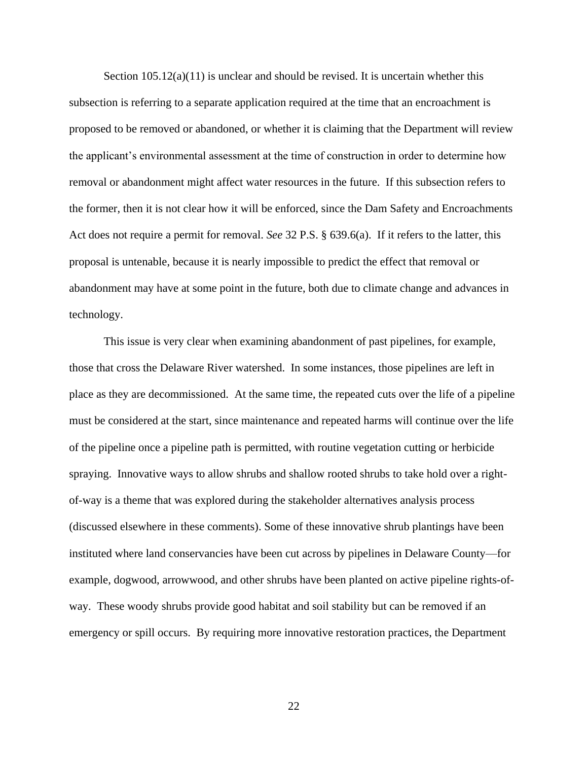Section  $105.12(a)(11)$  is unclear and should be revised. It is uncertain whether this subsection is referring to a separate application required at the time that an encroachment is proposed to be removed or abandoned, or whether it is claiming that the Department will review the applicant's environmental assessment at the time of construction in order to determine how removal or abandonment might affect water resources in the future. If this subsection refers to the former, then it is not clear how it will be enforced, since the Dam Safety and Encroachments Act does not require a permit for removal. *See* 32 P.S. § 639.6(a). If it refers to the latter, this proposal is untenable, because it is nearly impossible to predict the effect that removal or abandonment may have at some point in the future, both due to climate change and advances in technology.

This issue is very clear when examining abandonment of past pipelines, for example, those that cross the Delaware River watershed. In some instances, those pipelines are left in place as they are decommissioned. At the same time, the repeated cuts over the life of a pipeline must be considered at the start, since maintenance and repeated harms will continue over the life of the pipeline once a pipeline path is permitted, with routine vegetation cutting or herbicide spraying. Innovative ways to allow shrubs and shallow rooted shrubs to take hold over a rightof-way is a theme that was explored during the stakeholder alternatives analysis process (discussed elsewhere in these comments). Some of these innovative shrub plantings have been instituted where land conservancies have been cut across by pipelines in Delaware County—for example, dogwood, arrowwood, and other shrubs have been planted on active pipeline rights-ofway. These woody shrubs provide good habitat and soil stability but can be removed if an emergency or spill occurs. By requiring more innovative restoration practices, the Department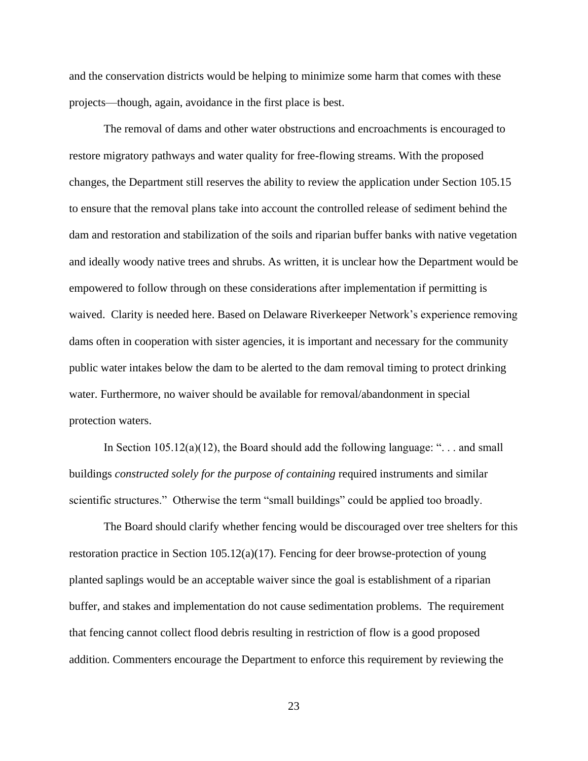and the conservation districts would be helping to minimize some harm that comes with these projects—though, again, avoidance in the first place is best.

The removal of dams and other water obstructions and encroachments is encouraged to restore migratory pathways and water quality for free-flowing streams. With the proposed changes, the Department still reserves the ability to review the application under Section 105.15 to ensure that the removal plans take into account the controlled release of sediment behind the dam and restoration and stabilization of the soils and riparian buffer banks with native vegetation and ideally woody native trees and shrubs. As written, it is unclear how the Department would be empowered to follow through on these considerations after implementation if permitting is waived. Clarity is needed here. Based on Delaware Riverkeeper Network's experience removing dams often in cooperation with sister agencies, it is important and necessary for the community public water intakes below the dam to be alerted to the dam removal timing to protect drinking water. Furthermore, no waiver should be available for removal/abandonment in special protection waters.

In Section  $105.12(a)(12)$ , the Board should add the following language: "... and small buildings *constructed solely for the purpose of containing* required instruments and similar scientific structures." Otherwise the term "small buildings" could be applied too broadly.

The Board should clarify whether fencing would be discouraged over tree shelters for this restoration practice in Section  $105.12(a)(17)$ . Fencing for deer browse-protection of young planted saplings would be an acceptable waiver since the goal is establishment of a riparian buffer, and stakes and implementation do not cause sedimentation problems. The requirement that fencing cannot collect flood debris resulting in restriction of flow is a good proposed addition. Commenters encourage the Department to enforce this requirement by reviewing the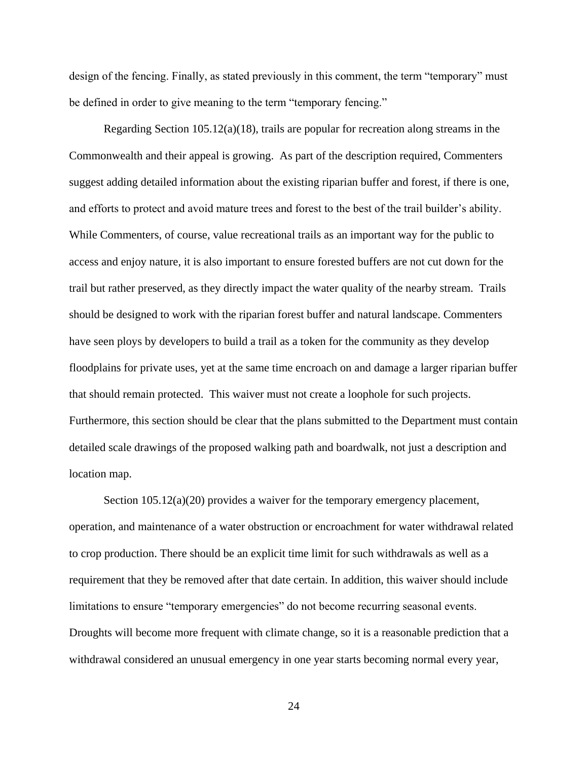design of the fencing. Finally, as stated previously in this comment, the term "temporary" must be defined in order to give meaning to the term "temporary fencing."

Regarding Section 105.12(a)(18), trails are popular for recreation along streams in the Commonwealth and their appeal is growing. As part of the description required, Commenters suggest adding detailed information about the existing riparian buffer and forest, if there is one, and efforts to protect and avoid mature trees and forest to the best of the trail builder's ability. While Commenters, of course, value recreational trails as an important way for the public to access and enjoy nature, it is also important to ensure forested buffers are not cut down for the trail but rather preserved, as they directly impact the water quality of the nearby stream. Trails should be designed to work with the riparian forest buffer and natural landscape. Commenters have seen ploys by developers to build a trail as a token for the community as they develop floodplains for private uses, yet at the same time encroach on and damage a larger riparian buffer that should remain protected. This waiver must not create a loophole for such projects. Furthermore, this section should be clear that the plans submitted to the Department must contain detailed scale drawings of the proposed walking path and boardwalk, not just a description and location map.

Section 105.12(a)(20) provides a waiver for the temporary emergency placement, operation, and maintenance of a water obstruction or encroachment for water withdrawal related to crop production. There should be an explicit time limit for such withdrawals as well as a requirement that they be removed after that date certain. In addition, this waiver should include limitations to ensure "temporary emergencies" do not become recurring seasonal events. Droughts will become more frequent with climate change, so it is a reasonable prediction that a withdrawal considered an unusual emergency in one year starts becoming normal every year,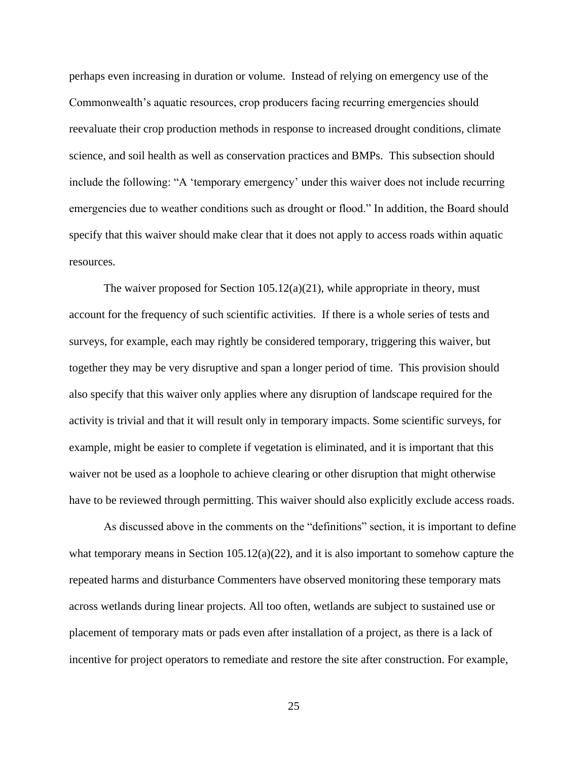perhaps even increasing in duration or volume. Instead of relying on emergency use of the Commonwealth's aquatic resources, crop producers facing recurring emergencies should reevaluate their crop production methods in response to increased drought conditions, climate science, and soil health as well as conservation practices and BMPs. This subsection should include the following: "A 'temporary emergency' under this waiver does not include recurring emergencies due to weather conditions such as drought or flood." In addition, the Board should specify that this waiver should make clear that it does not apply to access roads within aquatic resources.

The waiver proposed for Section  $105.12(a)(21)$ , while appropriate in theory, must account for the frequency of such scientific activities. If there is a whole series of tests and surveys, for example, each may rightly be considered temporary, triggering this waiver, but together they may be very disruptive and span a longer period of time. This provision should also specify that this waiver only applies where any disruption of landscape required for the activity is trivial and that it will result only in temporary impacts. Some scientific surveys, for example, might be easier to complete if vegetation is eliminated, and it is important that this waiver not be used as a loophole to achieve clearing or other disruption that might otherwise have to be reviewed through permitting. This waiver should also explicitly exclude access roads.

As discussed above in the comments on the "definitions" section, it is important to define what temporary means in Section  $105.12(a)(22)$ , and it is also important to somehow capture the repeated harms and disturbance Commenters have observed monitoring these temporary mats across wetlands during linear projects. All too often, wetlands are subject to sustained use or placement of temporary mats or pads even after installation of a project, as there is a lack of incentive for project operators to remediate and restore the site after construction. For example,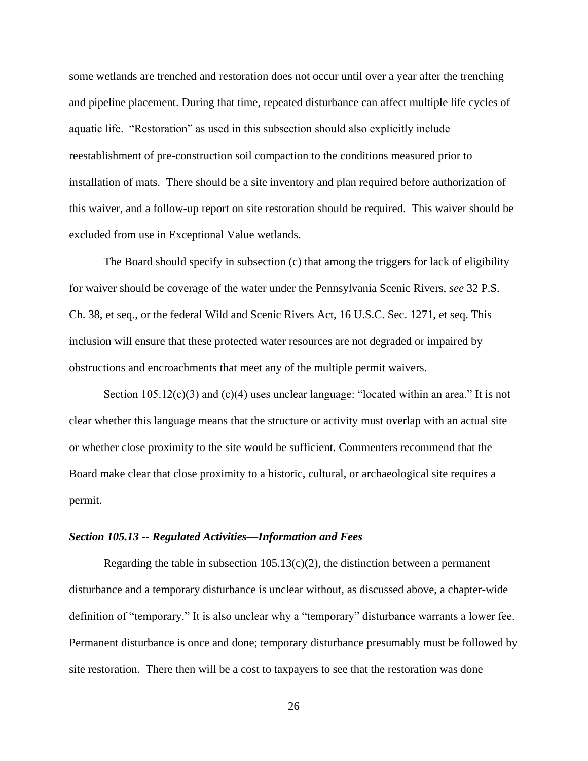some wetlands are trenched and restoration does not occur until over a year after the trenching and pipeline placement. During that time, repeated disturbance can affect multiple life cycles of aquatic life. "Restoration" as used in this subsection should also explicitly include reestablishment of pre-construction soil compaction to the conditions measured prior to installation of mats. There should be a site inventory and plan required before authorization of this waiver, and a follow-up report on site restoration should be required. This waiver should be excluded from use in Exceptional Value wetlands.

The Board should specify in subsection (c) that among the triggers for lack of eligibility for waiver should be coverage of the water under the Pennsylvania Scenic Rivers, *see* 32 P.S. Ch. 38, et seq., or the federal Wild and Scenic Rivers Act, 16 U.S.C. Sec. 1271, et seq. This inclusion will ensure that these protected water resources are not degraded or impaired by obstructions and encroachments that meet any of the multiple permit waivers.

Section  $105.12(c)(3)$  and  $(c)(4)$  uses unclear language: "located within an area." It is not clear whether this language means that the structure or activity must overlap with an actual site or whether close proximity to the site would be sufficient. Commenters recommend that the Board make clear that close proximity to a historic, cultural, or archaeological site requires a permit.

#### <span id="page-28-0"></span>*Section 105.13 -- Regulated Activities—Information and Fees*

Regarding the table in subsection  $105.13(c)(2)$ , the distinction between a permanent disturbance and a temporary disturbance is unclear without, as discussed above, a chapter-wide definition of "temporary." It is also unclear why a "temporary" disturbance warrants a lower fee. Permanent disturbance is once and done; temporary disturbance presumably must be followed by site restoration. There then will be a cost to taxpayers to see that the restoration was done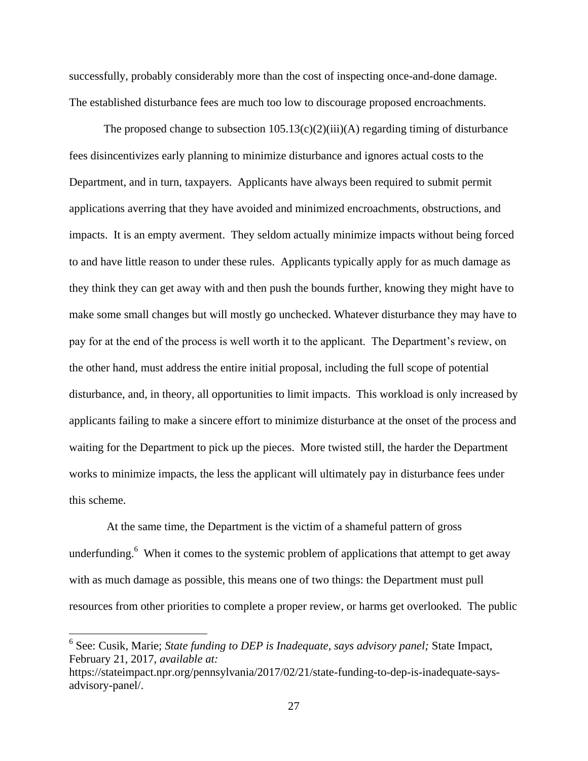successfully, probably considerably more than the cost of inspecting once-and-done damage. The established disturbance fees are much too low to discourage proposed encroachments.

The proposed change to subsection  $105.13(c)(2)(iii)(A)$  regarding timing of disturbance fees disincentivizes early planning to minimize disturbance and ignores actual costs to the Department, and in turn, taxpayers. Applicants have always been required to submit permit applications averring that they have avoided and minimized encroachments, obstructions, and impacts. It is an empty averment. They seldom actually minimize impacts without being forced to and have little reason to under these rules. Applicants typically apply for as much damage as they think they can get away with and then push the bounds further, knowing they might have to make some small changes but will mostly go unchecked. Whatever disturbance they may have to pay for at the end of the process is well worth it to the applicant. The Department's review, on the other hand, must address the entire initial proposal, including the full scope of potential disturbance, and, in theory, all opportunities to limit impacts. This workload is only increased by applicants failing to make a sincere effort to minimize disturbance at the onset of the process and waiting for the Department to pick up the pieces. More twisted still, the harder the Department works to minimize impacts, the less the applicant will ultimately pay in disturbance fees under this scheme.

At the same time, the Department is the victim of a shameful pattern of gross underfunding. <sup>6</sup> When it comes to the systemic problem of applications that attempt to get away with as much damage as possible, this means one of two things: the Department must pull resources from other priorities to complete a proper review, or harms get overlooked. The public

<sup>&</sup>lt;sup>6</sup> See: Cusik, Marie; *State funding to DEP is Inadequate, says advisory panel;* State Impact, February 21, 2017*, available at:*

https://stateimpact.npr.org/pennsylvania/2017/02/21/state-funding-to-dep-is-inadequate-saysadvisory-panel/.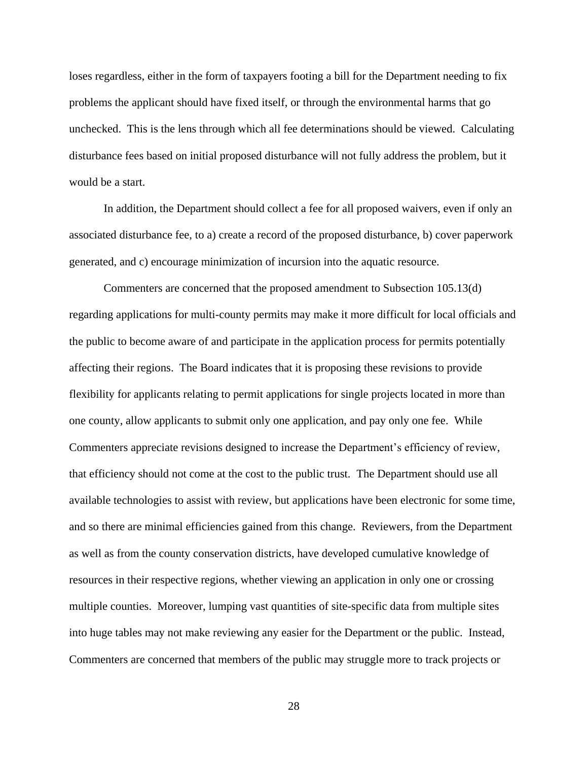loses regardless, either in the form of taxpayers footing a bill for the Department needing to fix problems the applicant should have fixed itself, or through the environmental harms that go unchecked. This is the lens through which all fee determinations should be viewed. Calculating disturbance fees based on initial proposed disturbance will not fully address the problem, but it would be a start.

In addition, the Department should collect a fee for all proposed waivers, even if only an associated disturbance fee, to a) create a record of the proposed disturbance, b) cover paperwork generated, and c) encourage minimization of incursion into the aquatic resource.

Commenters are concerned that the proposed amendment to Subsection 105.13(d) regarding applications for multi-county permits may make it more difficult for local officials and the public to become aware of and participate in the application process for permits potentially affecting their regions. The Board indicates that it is proposing these revisions to provide flexibility for applicants relating to permit applications for single projects located in more than one county, allow applicants to submit only one application, and pay only one fee. While Commenters appreciate revisions designed to increase the Department's efficiency of review, that efficiency should not come at the cost to the public trust. The Department should use all available technologies to assist with review, but applications have been electronic for some time, and so there are minimal efficiencies gained from this change. Reviewers, from the Department as well as from the county conservation districts, have developed cumulative knowledge of resources in their respective regions, whether viewing an application in only one or crossing multiple counties. Moreover, lumping vast quantities of site-specific data from multiple sites into huge tables may not make reviewing any easier for the Department or the public. Instead, Commenters are concerned that members of the public may struggle more to track projects or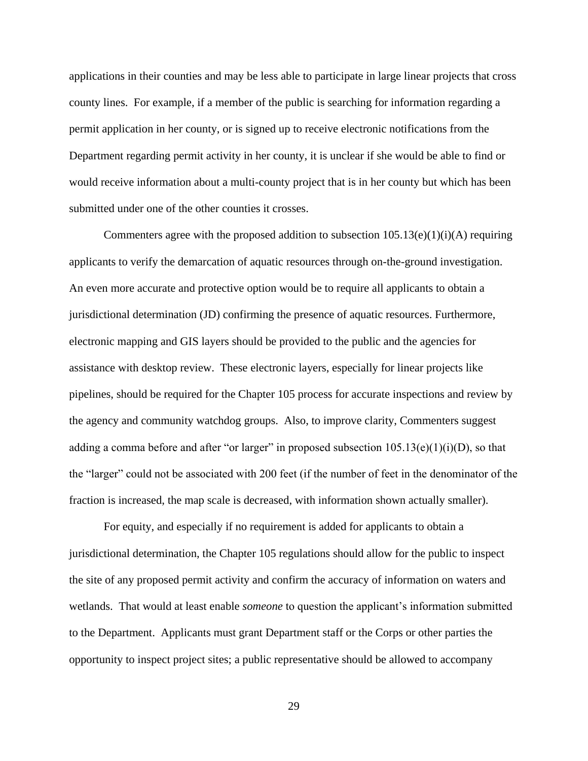applications in their counties and may be less able to participate in large linear projects that cross county lines. For example, if a member of the public is searching for information regarding a permit application in her county, or is signed up to receive electronic notifications from the Department regarding permit activity in her county, it is unclear if she would be able to find or would receive information about a multi-county project that is in her county but which has been submitted under one of the other counties it crosses.

Commenters agree with the proposed addition to subsection  $105.13(e)(1)(i)(A)$  requiring applicants to verify the demarcation of aquatic resources through on-the-ground investigation. An even more accurate and protective option would be to require all applicants to obtain a jurisdictional determination (JD) confirming the presence of aquatic resources. Furthermore, electronic mapping and GIS layers should be provided to the public and the agencies for assistance with desktop review. These electronic layers, especially for linear projects like pipelines, should be required for the Chapter 105 process for accurate inspections and review by the agency and community watchdog groups. Also, to improve clarity, Commenters suggest adding a comma before and after "or larger" in proposed subsection  $105.13(e)(1)(i)(D)$ , so that the "larger" could not be associated with 200 feet (if the number of feet in the denominator of the fraction is increased, the map scale is decreased, with information shown actually smaller).

For equity, and especially if no requirement is added for applicants to obtain a jurisdictional determination, the Chapter 105 regulations should allow for the public to inspect the site of any proposed permit activity and confirm the accuracy of information on waters and wetlands. That would at least enable *someone* to question the applicant's information submitted to the Department. Applicants must grant Department staff or the Corps or other parties the opportunity to inspect project sites; a public representative should be allowed to accompany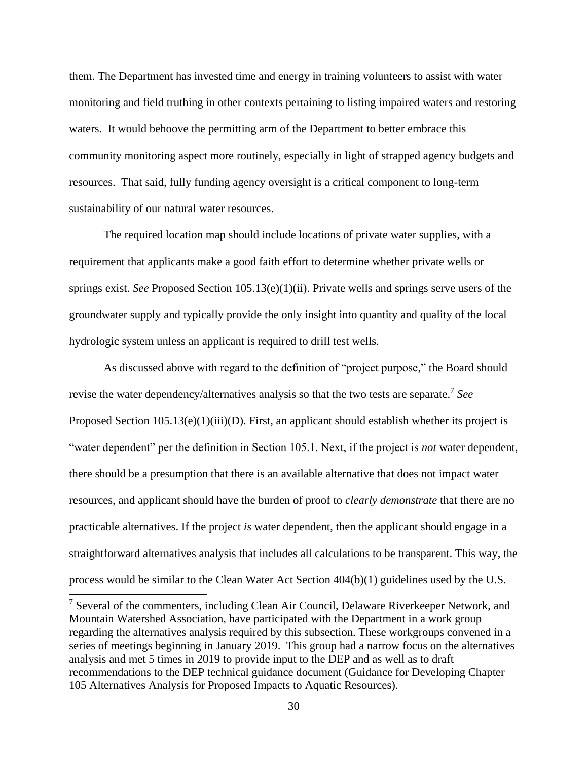them. The Department has invested time and energy in training volunteers to assist with water monitoring and field truthing in other contexts pertaining to listing impaired waters and restoring waters. It would behoove the permitting arm of the Department to better embrace this community monitoring aspect more routinely, especially in light of strapped agency budgets and resources. That said, fully funding agency oversight is a critical component to long-term sustainability of our natural water resources.

The required location map should include locations of private water supplies, with a requirement that applicants make a good faith effort to determine whether private wells or springs exist. *See* Proposed Section 105.13(e)(1)(ii). Private wells and springs serve users of the groundwater supply and typically provide the only insight into quantity and quality of the local hydrologic system unless an applicant is required to drill test wells.

As discussed above with regard to the definition of "project purpose," the Board should revise the water dependency/alternatives analysis so that the two tests are separate.<sup>7</sup> *See* Proposed Section 105.13(e)(1)(iii)(D). First, an applicant should establish whether its project is "water dependent" per the definition in Section 105.1. Next, if the project is *not* water dependent, there should be a presumption that there is an available alternative that does not impact water resources, and applicant should have the burden of proof to *clearly demonstrate* that there are no practicable alternatives. If the project *is* water dependent, then the applicant should engage in a straightforward alternatives analysis that includes all calculations to be transparent. This way, the process would be similar to the Clean Water Act Section 404(b)(1) guidelines used by the U.S.

<sup>&</sup>lt;sup>7</sup> Several of the commenters, including Clean Air Council, Delaware Riverkeeper Network, and Mountain Watershed Association, have participated with the Department in a work group regarding the alternatives analysis required by this subsection. These workgroups convened in a series of meetings beginning in January 2019. This group had a narrow focus on the alternatives analysis and met 5 times in 2019 to provide input to the DEP and as well as to draft recommendations to the DEP technical guidance document (Guidance for Developing Chapter 105 Alternatives Analysis for Proposed Impacts to Aquatic Resources).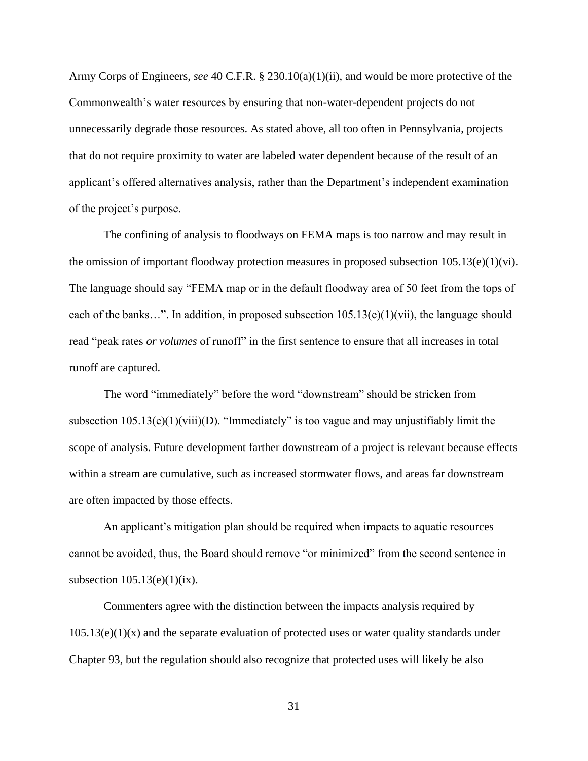Army Corps of Engineers, *see* 40 C.F.R. § 230.10(a)(1)(ii), and would be more protective of the Commonwealth's water resources by ensuring that non-water-dependent projects do not unnecessarily degrade those resources. As stated above, all too often in Pennsylvania, projects that do not require proximity to water are labeled water dependent because of the result of an applicant's offered alternatives analysis, rather than the Department's independent examination of the project's purpose.

The confining of analysis to floodways on FEMA maps is too narrow and may result in the omission of important floodway protection measures in proposed subsection  $105.13(e)(1)(vi)$ . The language should say "FEMA map or in the default floodway area of 50 feet from the tops of each of the banks...". In addition, in proposed subsection  $105.13(e)(1)(\n\t)$ , the language should read "peak rates *or volumes* of runoff" in the first sentence to ensure that all increases in total runoff are captured.

The word "immediately" before the word "downstream" should be stricken from subsection  $105.13(e)(1)(viii)(D)$ . "Immediately" is too vague and may unjustifiably limit the scope of analysis. Future development farther downstream of a project is relevant because effects within a stream are cumulative, such as increased stormwater flows, and areas far downstream are often impacted by those effects.

An applicant's mitigation plan should be required when impacts to aquatic resources cannot be avoided, thus, the Board should remove "or minimized" from the second sentence in subsection  $105.13(e)(1)(ix)$ .

Commenters agree with the distinction between the impacts analysis required by  $105.13(e)(1)(x)$  and the separate evaluation of protected uses or water quality standards under Chapter 93, but the regulation should also recognize that protected uses will likely be also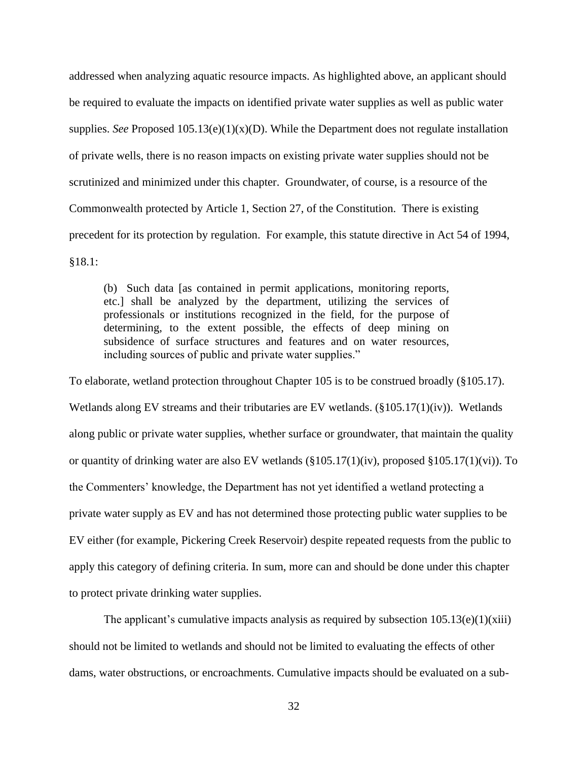addressed when analyzing aquatic resource impacts. As highlighted above, an applicant should be required to evaluate the impacts on identified private water supplies as well as public water supplies. *See* Proposed 105.13(e)(1)(x)(D). While the Department does not regulate installation of private wells, there is no reason impacts on existing private water supplies should not be scrutinized and minimized under this chapter. Groundwater, of course, is a resource of the Commonwealth protected by Article 1, Section 27, of the Constitution. There is existing precedent for its protection by regulation. For example, this statute directive in Act 54 of 1994, §18.1:

(b) Such data [as contained in permit applications, monitoring reports, etc.] shall be analyzed by the department, utilizing the services of professionals or institutions recognized in the field, for the purpose of determining, to the extent possible, the effects of deep mining on subsidence of surface structures and features and on water resources, including sources of public and private water supplies."

To elaborate, wetland protection throughout Chapter 105 is to be construed broadly (§105.17). Wetlands along EV streams and their tributaries are EV wetlands. (§105.17(1)(iv)). Wetlands along public or private water supplies, whether surface or groundwater, that maintain the quality or quantity of drinking water are also EV wetlands (§105.17(1)(iv), proposed §105.17(1)(vi)). To the Commenters' knowledge, the Department has not yet identified a wetland protecting a private water supply as EV and has not determined those protecting public water supplies to be EV either (for example, Pickering Creek Reservoir) despite repeated requests from the public to apply this category of defining criteria. In sum, more can and should be done under this chapter to protect private drinking water supplies.

The applicant's cumulative impacts analysis as required by subsection  $105.13(e)(1)(xiii)$ should not be limited to wetlands and should not be limited to evaluating the effects of other dams, water obstructions, or encroachments. Cumulative impacts should be evaluated on a sub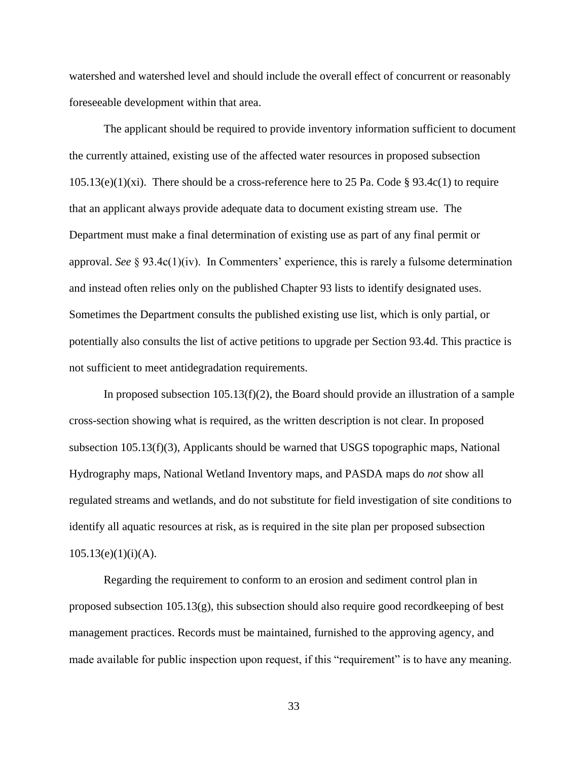watershed and watershed level and should include the overall effect of concurrent or reasonably foreseeable development within that area.

The applicant should be required to provide inventory information sufficient to document the currently attained, existing use of the affected water resources in proposed subsection  $105.13(e)(1)(xi)$ . There should be a cross-reference here to 25 Pa. Code § 93.4c(1) to require that an applicant always provide adequate data to document existing stream use. The Department must make a final determination of existing use as part of any final permit or approval. *See* § 93.4c(1)(iv). In Commenters' experience, this is rarely a fulsome determination and instead often relies only on the published Chapter 93 lists to identify designated uses. Sometimes the Department consults the published existing use list, which is only partial, or potentially also consults the list of active petitions to upgrade per Section 93.4d. This practice is not sufficient to meet antidegradation requirements.

In proposed subsection  $105.13(f)(2)$ , the Board should provide an illustration of a sample cross-section showing what is required, as the written description is not clear. In proposed subsection 105.13(f)(3), Applicants should be warned that USGS topographic maps, National Hydrography maps, National Wetland Inventory maps, and PASDA maps do *not* show all regulated streams and wetlands, and do not substitute for field investigation of site conditions to identify all aquatic resources at risk, as is required in the site plan per proposed subsection  $105.13(e)(1)(i)(A)$ .

Regarding the requirement to conform to an erosion and sediment control plan in proposed subsection  $105.13(g)$ , this subsection should also require good record keeping of best management practices. Records must be maintained, furnished to the approving agency, and made available for public inspection upon request, if this "requirement" is to have any meaning.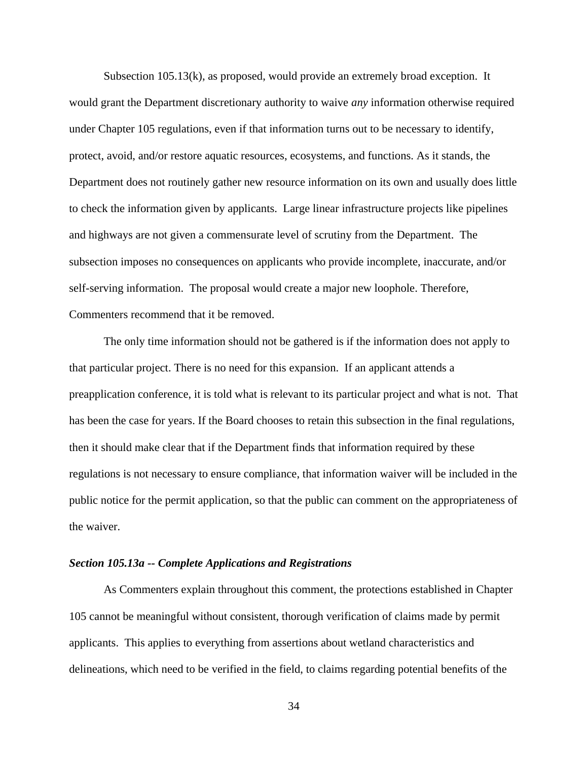Subsection 105.13(k), as proposed, would provide an extremely broad exception. It would grant the Department discretionary authority to waive *any* information otherwise required under Chapter 105 regulations, even if that information turns out to be necessary to identify, protect, avoid, and/or restore aquatic resources, ecosystems, and functions. As it stands, the Department does not routinely gather new resource information on its own and usually does little to check the information given by applicants. Large linear infrastructure projects like pipelines and highways are not given a commensurate level of scrutiny from the Department. The subsection imposes no consequences on applicants who provide incomplete, inaccurate, and/or self-serving information. The proposal would create a major new loophole. Therefore, Commenters recommend that it be removed.

The only time information should not be gathered is if the information does not apply to that particular project. There is no need for this expansion. If an applicant attends a preapplication conference, it is told what is relevant to its particular project and what is not. That has been the case for years. If the Board chooses to retain this subsection in the final regulations, then it should make clear that if the Department finds that information required by these regulations is not necessary to ensure compliance, that information waiver will be included in the public notice for the permit application, so that the public can comment on the appropriateness of the waiver.

#### <span id="page-36-0"></span>*Section 105.13a -- Complete Applications and Registrations*

As Commenters explain throughout this comment, the protections established in Chapter 105 cannot be meaningful without consistent, thorough verification of claims made by permit applicants. This applies to everything from assertions about wetland characteristics and delineations, which need to be verified in the field, to claims regarding potential benefits of the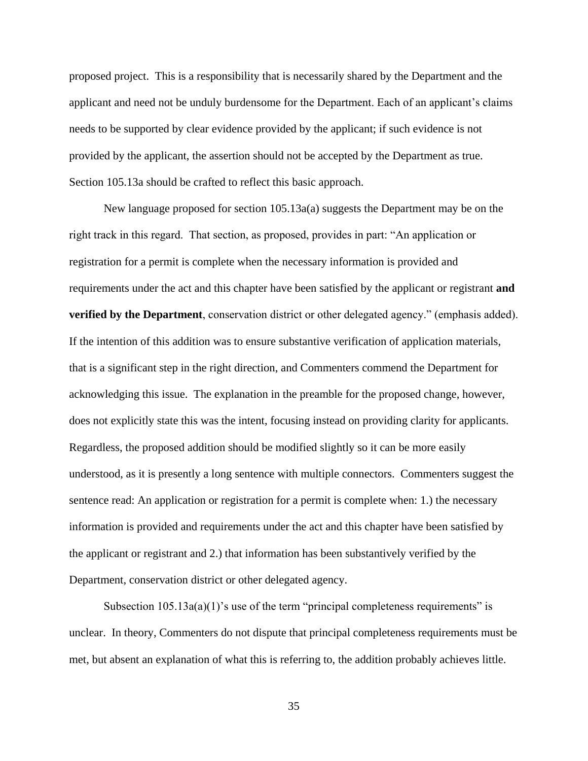proposed project. This is a responsibility that is necessarily shared by the Department and the applicant and need not be unduly burdensome for the Department. Each of an applicant's claims needs to be supported by clear evidence provided by the applicant; if such evidence is not provided by the applicant, the assertion should not be accepted by the Department as true. Section 105.13a should be crafted to reflect this basic approach.

New language proposed for section 105.13a(a) suggests the Department may be on the right track in this regard. That section, as proposed, provides in part: "An application or registration for a permit is complete when the necessary information is provided and requirements under the act and this chapter have been satisfied by the applicant or registrant **and verified by the Department**, conservation district or other delegated agency." (emphasis added). If the intention of this addition was to ensure substantive verification of application materials, that is a significant step in the right direction, and Commenters commend the Department for acknowledging this issue. The explanation in the preamble for the proposed change, however, does not explicitly state this was the intent, focusing instead on providing clarity for applicants. Regardless, the proposed addition should be modified slightly so it can be more easily understood, as it is presently a long sentence with multiple connectors. Commenters suggest the sentence read: An application or registration for a permit is complete when: 1.) the necessary information is provided and requirements under the act and this chapter have been satisfied by the applicant or registrant and 2.) that information has been substantively verified by the Department, conservation district or other delegated agency.

Subsection  $105.13a(a)(1)$ 's use of the term "principal completeness requirements" is unclear. In theory, Commenters do not dispute that principal completeness requirements must be met, but absent an explanation of what this is referring to, the addition probably achieves little.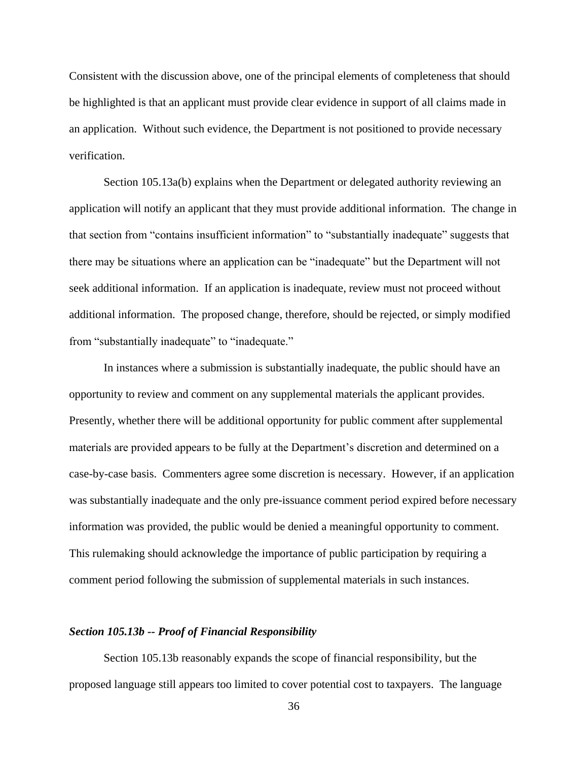Consistent with the discussion above, one of the principal elements of completeness that should be highlighted is that an applicant must provide clear evidence in support of all claims made in an application. Without such evidence, the Department is not positioned to provide necessary verification.

Section 105.13a(b) explains when the Department or delegated authority reviewing an application will notify an applicant that they must provide additional information. The change in that section from "contains insufficient information" to "substantially inadequate" suggests that there may be situations where an application can be "inadequate" but the Department will not seek additional information. If an application is inadequate, review must not proceed without additional information. The proposed change, therefore, should be rejected, or simply modified from "substantially inadequate" to "inadequate."

In instances where a submission is substantially inadequate, the public should have an opportunity to review and comment on any supplemental materials the applicant provides. Presently, whether there will be additional opportunity for public comment after supplemental materials are provided appears to be fully at the Department's discretion and determined on a case-by-case basis. Commenters agree some discretion is necessary. However, if an application was substantially inadequate and the only pre-issuance comment period expired before necessary information was provided, the public would be denied a meaningful opportunity to comment. This rulemaking should acknowledge the importance of public participation by requiring a comment period following the submission of supplemental materials in such instances.

#### <span id="page-38-0"></span>*Section 105.13b -- Proof of Financial Responsibility*

Section 105.13b reasonably expands the scope of financial responsibility, but the proposed language still appears too limited to cover potential cost to taxpayers. The language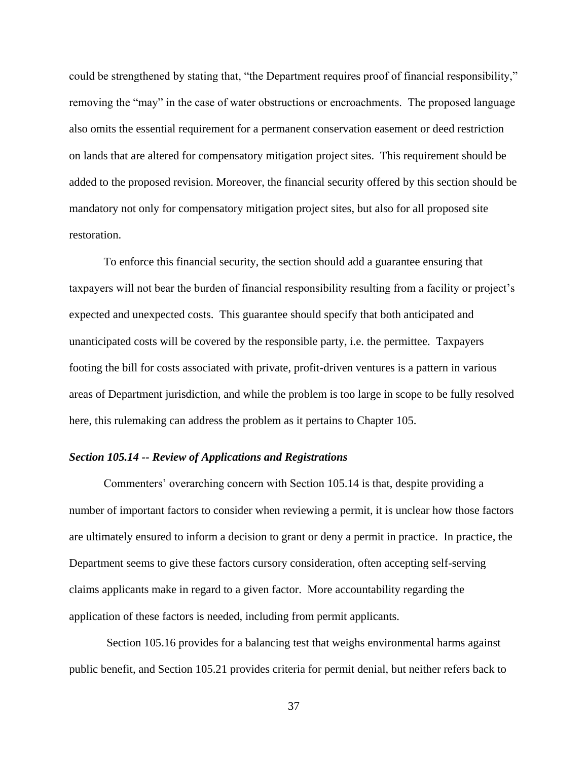could be strengthened by stating that, "the Department requires proof of financial responsibility," removing the "may" in the case of water obstructions or encroachments. The proposed language also omits the essential requirement for a permanent conservation easement or deed restriction on lands that are altered for compensatory mitigation project sites. This requirement should be added to the proposed revision. Moreover, the financial security offered by this section should be mandatory not only for compensatory mitigation project sites, but also for all proposed site restoration.

To enforce this financial security, the section should add a guarantee ensuring that taxpayers will not bear the burden of financial responsibility resulting from a facility or project's expected and unexpected costs. This guarantee should specify that both anticipated and unanticipated costs will be covered by the responsible party, i.e. the permittee. Taxpayers footing the bill for costs associated with private, profit-driven ventures is a pattern in various areas of Department jurisdiction, and while the problem is too large in scope to be fully resolved here, this rulemaking can address the problem as it pertains to Chapter 105.

## <span id="page-39-0"></span>*Section 105.14 -- Review of Applications and Registrations*

Commenters' overarching concern with Section 105.14 is that, despite providing a number of important factors to consider when reviewing a permit, it is unclear how those factors are ultimately ensured to inform a decision to grant or deny a permit in practice. In practice, the Department seems to give these factors cursory consideration, often accepting self-serving claims applicants make in regard to a given factor. More accountability regarding the application of these factors is needed, including from permit applicants.

Section 105.16 provides for a balancing test that weighs environmental harms against public benefit, and Section 105.21 provides criteria for permit denial, but neither refers back to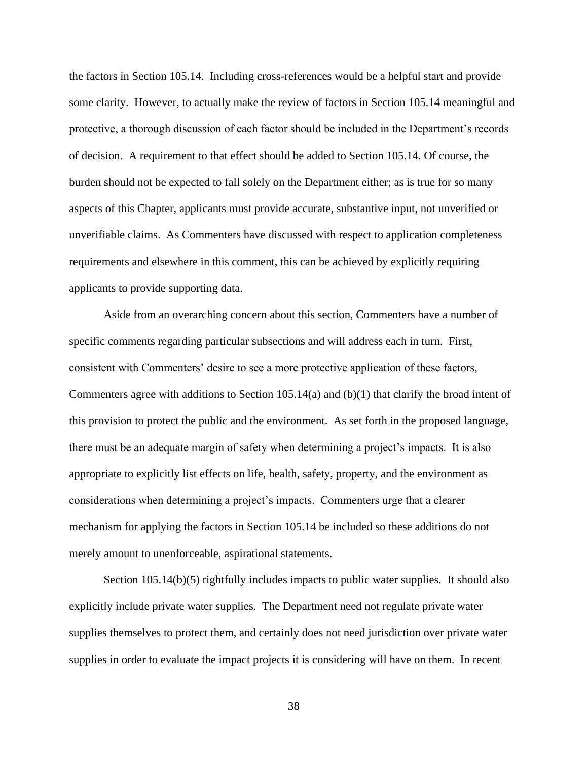the factors in Section 105.14. Including cross-references would be a helpful start and provide some clarity. However, to actually make the review of factors in Section 105.14 meaningful and protective, a thorough discussion of each factor should be included in the Department's records of decision. A requirement to that effect should be added to Section 105.14. Of course, the burden should not be expected to fall solely on the Department either; as is true for so many aspects of this Chapter, applicants must provide accurate, substantive input, not unverified or unverifiable claims. As Commenters have discussed with respect to application completeness requirements and elsewhere in this comment, this can be achieved by explicitly requiring applicants to provide supporting data.

Aside from an overarching concern about this section, Commenters have a number of specific comments regarding particular subsections and will address each in turn. First, consistent with Commenters' desire to see a more protective application of these factors, Commenters agree with additions to Section 105.14(a) and  $(b)(1)$  that clarify the broad intent of this provision to protect the public and the environment. As set forth in the proposed language, there must be an adequate margin of safety when determining a project's impacts. It is also appropriate to explicitly list effects on life, health, safety, property, and the environment as considerations when determining a project's impacts. Commenters urge that a clearer mechanism for applying the factors in Section 105.14 be included so these additions do not merely amount to unenforceable, aspirational statements.

Section 105.14(b)(5) rightfully includes impacts to public water supplies. It should also explicitly include private water supplies. The Department need not regulate private water supplies themselves to protect them, and certainly does not need jurisdiction over private water supplies in order to evaluate the impact projects it is considering will have on them. In recent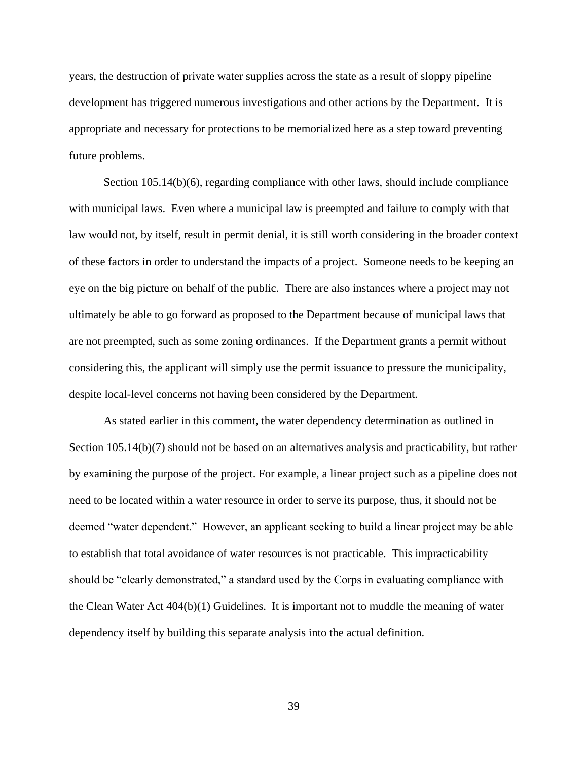years, the destruction of private water supplies across the state as a result of sloppy pipeline development has triggered numerous investigations and other actions by the Department. It is appropriate and necessary for protections to be memorialized here as a step toward preventing future problems.

Section 105.14(b)(6), regarding compliance with other laws, should include compliance with municipal laws. Even where a municipal law is preempted and failure to comply with that law would not, by itself, result in permit denial, it is still worth considering in the broader context of these factors in order to understand the impacts of a project. Someone needs to be keeping an eye on the big picture on behalf of the public. There are also instances where a project may not ultimately be able to go forward as proposed to the Department because of municipal laws that are not preempted, such as some zoning ordinances. If the Department grants a permit without considering this, the applicant will simply use the permit issuance to pressure the municipality, despite local-level concerns not having been considered by the Department.

As stated earlier in this comment, the water dependency determination as outlined in Section 105.14(b)(7) should not be based on an alternatives analysis and practicability, but rather by examining the purpose of the project. For example, a linear project such as a pipeline does not need to be located within a water resource in order to serve its purpose, thus, it should not be deemed "water dependent." However, an applicant seeking to build a linear project may be able to establish that total avoidance of water resources is not practicable. This impracticability should be "clearly demonstrated," a standard used by the Corps in evaluating compliance with the Clean Water Act 404(b)(1) Guidelines. It is important not to muddle the meaning of water dependency itself by building this separate analysis into the actual definition.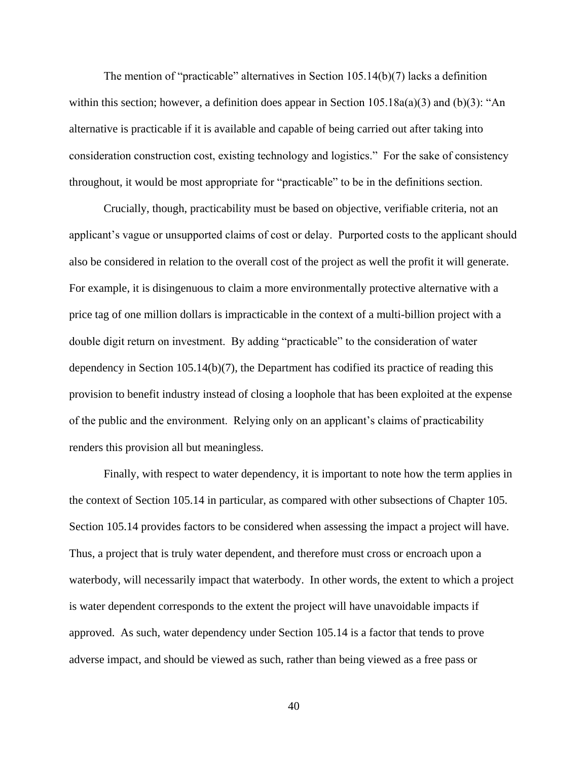The mention of "practicable" alternatives in Section  $105.14(b)(7)$  lacks a definition within this section; however, a definition does appear in Section 105.18a(a)(3) and (b)(3): "An alternative is practicable if it is available and capable of being carried out after taking into consideration construction cost, existing technology and logistics." For the sake of consistency throughout, it would be most appropriate for "practicable" to be in the definitions section.

Crucially, though, practicability must be based on objective, verifiable criteria, not an applicant's vague or unsupported claims of cost or delay. Purported costs to the applicant should also be considered in relation to the overall cost of the project as well the profit it will generate. For example, it is disingenuous to claim a more environmentally protective alternative with a price tag of one million dollars is impracticable in the context of a multi-billion project with a double digit return on investment. By adding "practicable" to the consideration of water dependency in Section 105.14(b)(7), the Department has codified its practice of reading this provision to benefit industry instead of closing a loophole that has been exploited at the expense of the public and the environment. Relying only on an applicant's claims of practicability renders this provision all but meaningless.

Finally, with respect to water dependency, it is important to note how the term applies in the context of Section 105.14 in particular, as compared with other subsections of Chapter 105. Section 105.14 provides factors to be considered when assessing the impact a project will have. Thus, a project that is truly water dependent, and therefore must cross or encroach upon a waterbody, will necessarily impact that waterbody. In other words, the extent to which a project is water dependent corresponds to the extent the project will have unavoidable impacts if approved. As such, water dependency under Section 105.14 is a factor that tends to prove adverse impact, and should be viewed as such, rather than being viewed as a free pass or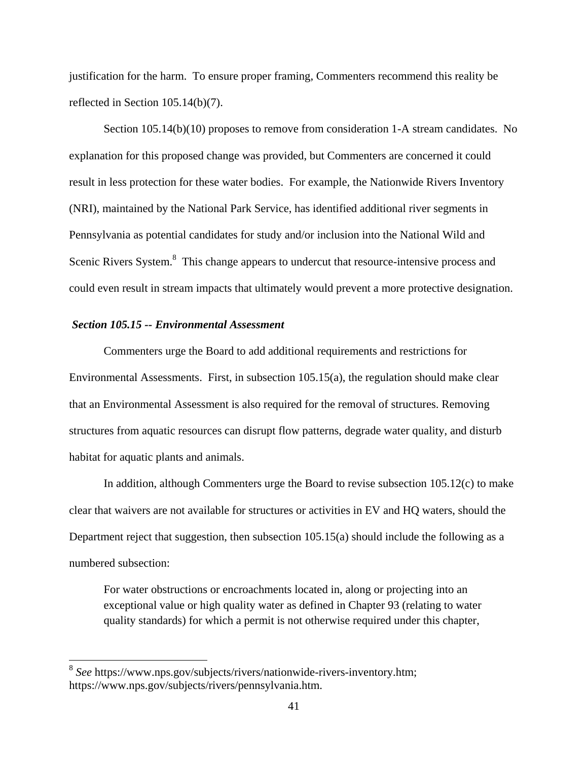justification for the harm. To ensure proper framing, Commenters recommend this reality be reflected in Section 105.14(b)(7).

Section 105.14(b)(10) proposes to remove from consideration 1-A stream candidates. No explanation for this proposed change was provided, but Commenters are concerned it could result in less protection for these water bodies. For example, the Nationwide Rivers Inventory (NRI), maintained by the National Park Service, has identified additional river segments in Pennsylvania as potential candidates for study and/or inclusion into the National Wild and Scenic Rivers System.<sup>8</sup> This change appears to undercut that resource-intensive process and could even result in stream impacts that ultimately would prevent a more protective designation.

### <span id="page-43-0"></span>*Section 105.15 -- Environmental Assessment*

Commenters urge the Board to add additional requirements and restrictions for Environmental Assessments. First, in subsection 105.15(a), the regulation should make clear that an Environmental Assessment is also required for the removal of structures. Removing structures from aquatic resources can disrupt flow patterns, degrade water quality, and disturb habitat for aquatic plants and animals.

In addition, although Commenters urge the Board to revise subsection 105.12(c) to make clear that waivers are not available for structures or activities in EV and HQ waters, should the Department reject that suggestion, then subsection 105.15(a) should include the following as a numbered subsection:

For water obstructions or encroachments located in, along or projecting into an exceptional value or high quality water as defined in Chapter 93 (relating to water quality standards) for which a permit is not otherwise required under this chapter,

 8 *See* https://www.nps.gov/subjects/rivers/nationwide-rivers-inventory.htm; https://www.nps.gov/subjects/rivers/pennsylvania.htm.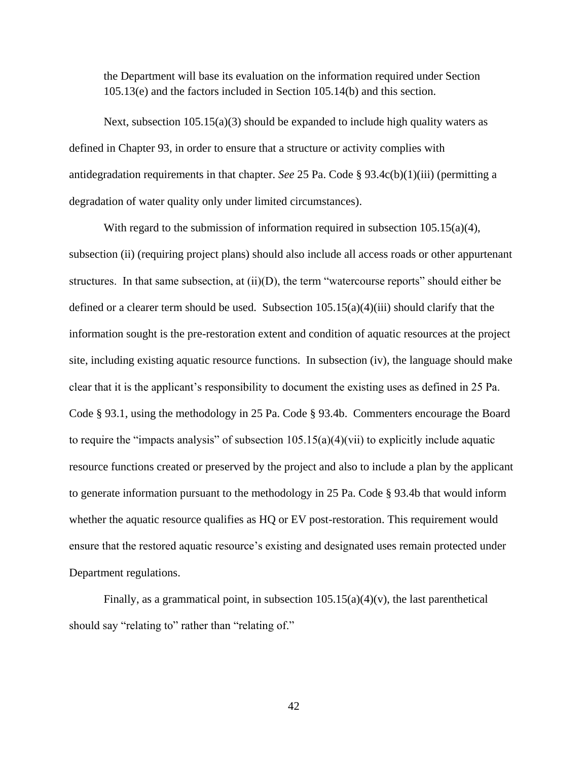the Department will base its evaluation on the information required under Section 105.13(e) and the factors included in Section 105.14(b) and this section.

Next, subsection 105.15(a)(3) should be expanded to include high quality waters as defined in Chapter 93, in order to ensure that a structure or activity complies with antidegradation requirements in that chapter. *See* 25 Pa. Code § 93.4c(b)(1)(iii) (permitting a degradation of water quality only under limited circumstances).

With regard to the submission of information required in subsection  $105.15(a)(4)$ , subsection (ii) (requiring project plans) should also include all access roads or other appurtenant structures. In that same subsection, at  $(ii)(D)$ , the term "watercourse reports" should either be defined or a clearer term should be used. Subsection  $105.15(a)(4)(iii)$  should clarify that the information sought is the pre-restoration extent and condition of aquatic resources at the project site, including existing aquatic resource functions. In subsection (iv), the language should make clear that it is the applicant's responsibility to document the existing uses as defined in 25 Pa. Code § 93.1, using the methodology in 25 Pa. Code § 93.4b. Commenters encourage the Board to require the "impacts analysis" of subsection 105.15(a)(4)(vii) to explicitly include aquatic resource functions created or preserved by the project and also to include a plan by the applicant to generate information pursuant to the methodology in 25 Pa. Code § 93.4b that would inform whether the aquatic resource qualifies as HQ or EV post-restoration. This requirement would ensure that the restored aquatic resource's existing and designated uses remain protected under Department regulations.

<span id="page-44-0"></span>Finally, as a grammatical point, in subsection  $105.15(a)(4)(v)$ , the last parenthetical should say "relating to" rather than "relating of."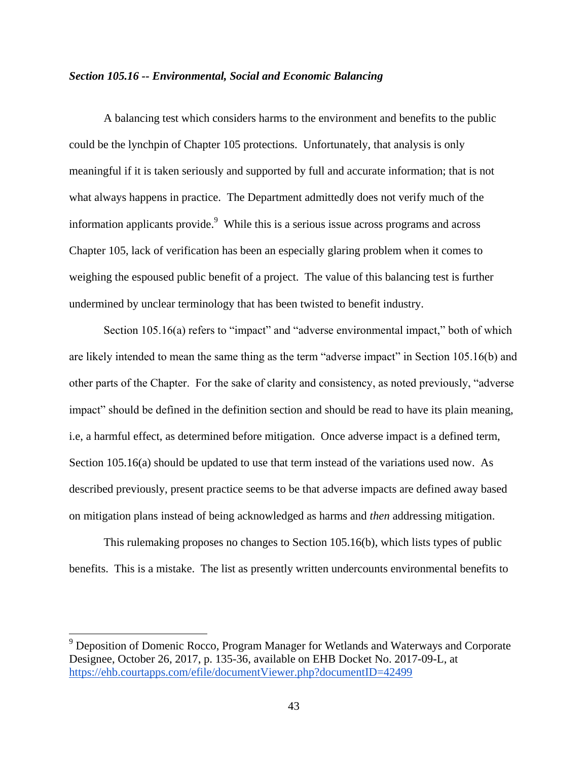### *Section 105.16 -- Environmental, Social and Economic Balancing*

A balancing test which considers harms to the environment and benefits to the public could be the lynchpin of Chapter 105 protections. Unfortunately, that analysis is only meaningful if it is taken seriously and supported by full and accurate information; that is not what always happens in practice. The Department admittedly does not verify much of the information applicants provide. $9$  While this is a serious issue across programs and across Chapter 105, lack of verification has been an especially glaring problem when it comes to weighing the espoused public benefit of a project. The value of this balancing test is further undermined by unclear terminology that has been twisted to benefit industry.

Section 105.16(a) refers to "impact" and "adverse environmental impact," both of which are likely intended to mean the same thing as the term "adverse impact" in Section 105.16(b) and other parts of the Chapter. For the sake of clarity and consistency, as noted previously, "adverse impact" should be defined in the definition section and should be read to have its plain meaning, i.e, a harmful effect, as determined before mitigation. Once adverse impact is a defined term, Section 105.16(a) should be updated to use that term instead of the variations used now. As described previously, present practice seems to be that adverse impacts are defined away based on mitigation plans instead of being acknowledged as harms and *then* addressing mitigation.

This rulemaking proposes no changes to Section 105.16(b), which lists types of public benefits. This is a mistake. The list as presently written undercounts environmental benefits to

<sup>&</sup>lt;sup>9</sup> Deposition of Domenic Rocco, Program Manager for Wetlands and Waterways and Corporate Designee, October 26, 2017, p. 135-36, available on EHB Docket No. 2017-09-L, at <https://ehb.courtapps.com/efile/documentViewer.php?documentID=42499>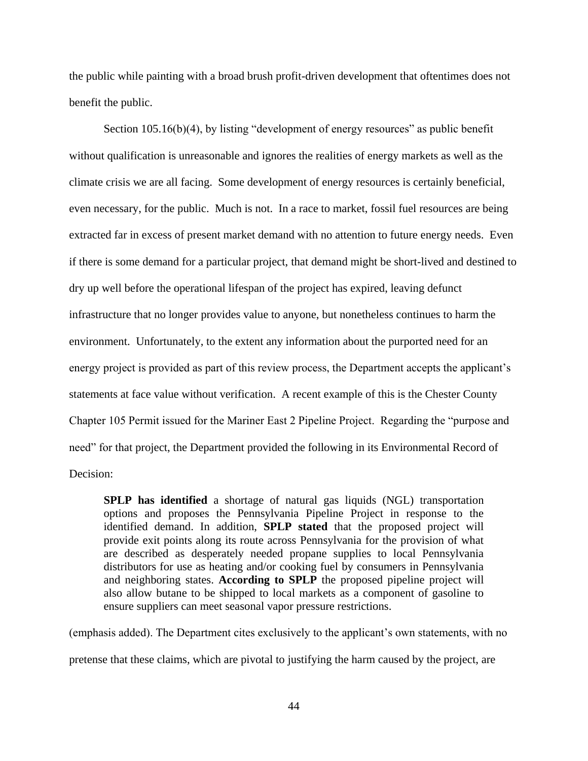the public while painting with a broad brush profit-driven development that oftentimes does not benefit the public.

Section 105.16(b)(4), by listing "development of energy resources" as public benefit without qualification is unreasonable and ignores the realities of energy markets as well as the climate crisis we are all facing. Some development of energy resources is certainly beneficial, even necessary, for the public. Much is not. In a race to market, fossil fuel resources are being extracted far in excess of present market demand with no attention to future energy needs. Even if there is some demand for a particular project, that demand might be short-lived and destined to dry up well before the operational lifespan of the project has expired, leaving defunct infrastructure that no longer provides value to anyone, but nonetheless continues to harm the environment. Unfortunately, to the extent any information about the purported need for an energy project is provided as part of this review process, the Department accepts the applicant's statements at face value without verification. A recent example of this is the Chester County Chapter 105 Permit issued for the Mariner East 2 Pipeline Project. Regarding the "purpose and need" for that project, the Department provided the following in its Environmental Record of Decision:

**SPLP has identified** a shortage of natural gas liquids (NGL) transportation options and proposes the Pennsylvania Pipeline Project in response to the identified demand. In addition, **SPLP stated** that the proposed project will provide exit points along its route across Pennsylvania for the provision of what are described as desperately needed propane supplies to local Pennsylvania distributors for use as heating and/or cooking fuel by consumers in Pennsylvania and neighboring states. **According to SPLP** the proposed pipeline project will also allow butane to be shipped to local markets as a component of gasoline to ensure suppliers can meet seasonal vapor pressure restrictions.

(emphasis added). The Department cites exclusively to the applicant's own statements, with no pretense that these claims, which are pivotal to justifying the harm caused by the project, are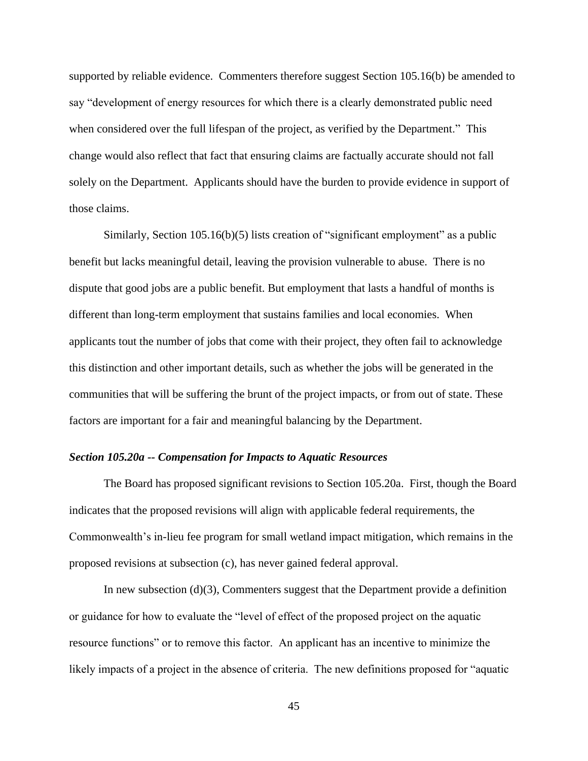supported by reliable evidence. Commenters therefore suggest Section 105.16(b) be amended to say "development of energy resources for which there is a clearly demonstrated public need when considered over the full lifespan of the project, as verified by the Department." This change would also reflect that fact that ensuring claims are factually accurate should not fall solely on the Department. Applicants should have the burden to provide evidence in support of those claims.

Similarly, Section 105.16(b)(5) lists creation of "significant employment" as a public benefit but lacks meaningful detail, leaving the provision vulnerable to abuse. There is no dispute that good jobs are a public benefit. But employment that lasts a handful of months is different than long-term employment that sustains families and local economies. When applicants tout the number of jobs that come with their project, they often fail to acknowledge this distinction and other important details, such as whether the jobs will be generated in the communities that will be suffering the brunt of the project impacts, or from out of state. These factors are important for a fair and meaningful balancing by the Department.

## <span id="page-47-0"></span>*Section 105.20a -- Compensation for Impacts to Aquatic Resources*

The Board has proposed significant revisions to Section 105.20a. First, though the Board indicates that the proposed revisions will align with applicable federal requirements, the Commonwealth's in-lieu fee program for small wetland impact mitigation, which remains in the proposed revisions at subsection (c), has never gained federal approval.

In new subsection  $(d)(3)$ , Commenters suggest that the Department provide a definition or guidance for how to evaluate the "level of effect of the proposed project on the aquatic resource functions" or to remove this factor. An applicant has an incentive to minimize the likely impacts of a project in the absence of criteria. The new definitions proposed for "aquatic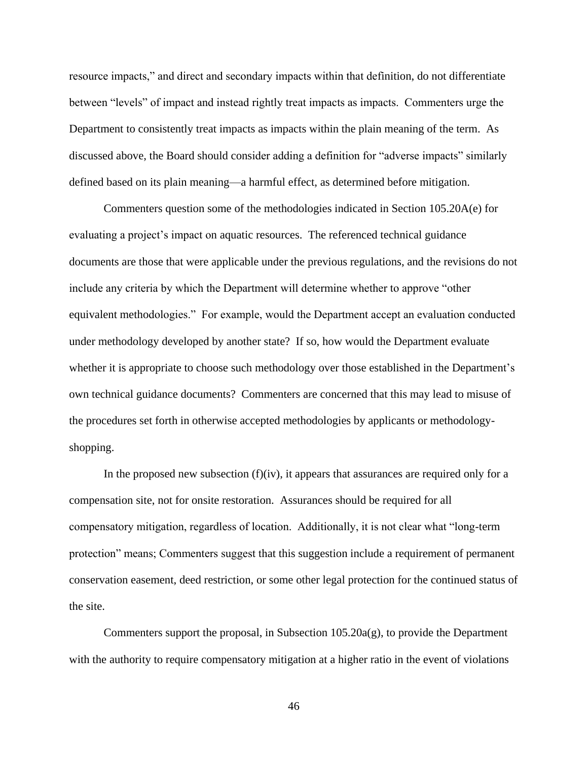resource impacts," and direct and secondary impacts within that definition, do not differentiate between "levels" of impact and instead rightly treat impacts as impacts. Commenters urge the Department to consistently treat impacts as impacts within the plain meaning of the term. As discussed above, the Board should consider adding a definition for "adverse impacts" similarly defined based on its plain meaning—a harmful effect, as determined before mitigation.

Commenters question some of the methodologies indicated in Section 105.20A(e) for evaluating a project's impact on aquatic resources. The referenced technical guidance documents are those that were applicable under the previous regulations, and the revisions do not include any criteria by which the Department will determine whether to approve "other equivalent methodologies." For example, would the Department accept an evaluation conducted under methodology developed by another state? If so, how would the Department evaluate whether it is appropriate to choose such methodology over those established in the Department's own technical guidance documents? Commenters are concerned that this may lead to misuse of the procedures set forth in otherwise accepted methodologies by applicants or methodologyshopping.

In the proposed new subsection  $(f)(iv)$ , it appears that assurances are required only for a compensation site, not for onsite restoration. Assurances should be required for all compensatory mitigation, regardless of location. Additionally, it is not clear what "long-term protection" means; Commenters suggest that this suggestion include a requirement of permanent conservation easement, deed restriction, or some other legal protection for the continued status of the site.

Commenters support the proposal, in Subsection 105.20a(g), to provide the Department with the authority to require compensatory mitigation at a higher ratio in the event of violations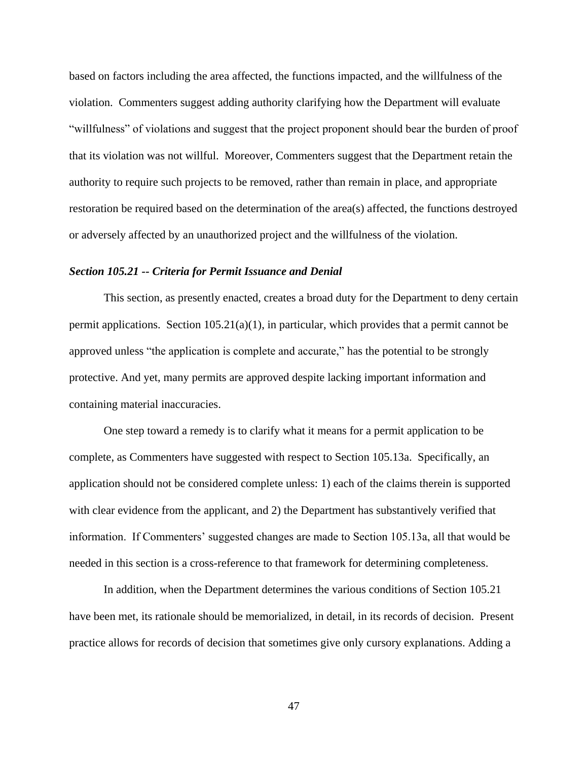based on factors including the area affected, the functions impacted, and the willfulness of the violation. Commenters suggest adding authority clarifying how the Department will evaluate "willfulness" of violations and suggest that the project proponent should bear the burden of proof that its violation was not willful. Moreover, Commenters suggest that the Department retain the authority to require such projects to be removed, rather than remain in place, and appropriate restoration be required based on the determination of the area(s) affected, the functions destroyed or adversely affected by an unauthorized project and the willfulness of the violation.

### <span id="page-49-0"></span>*Section 105.21 -- Criteria for Permit Issuance and Denial*

This section, as presently enacted, creates a broad duty for the Department to deny certain permit applications. Section  $105.21(a)(1)$ , in particular, which provides that a permit cannot be approved unless "the application is complete and accurate," has the potential to be strongly protective. And yet, many permits are approved despite lacking important information and containing material inaccuracies.

One step toward a remedy is to clarify what it means for a permit application to be complete, as Commenters have suggested with respect to Section 105.13a. Specifically, an application should not be considered complete unless: 1) each of the claims therein is supported with clear evidence from the applicant, and 2) the Department has substantively verified that information. If Commenters' suggested changes are made to Section 105.13a, all that would be needed in this section is a cross-reference to that framework for determining completeness.

In addition, when the Department determines the various conditions of Section 105.21 have been met, its rationale should be memorialized, in detail, in its records of decision. Present practice allows for records of decision that sometimes give only cursory explanations. Adding a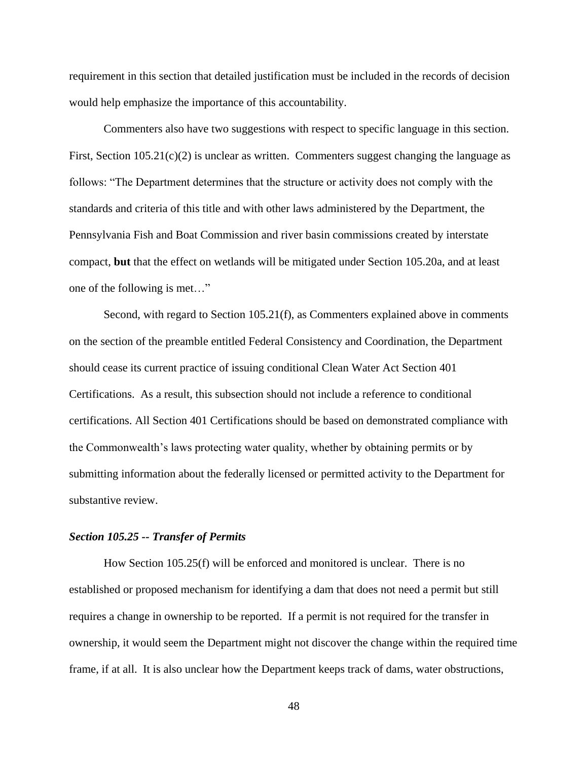requirement in this section that detailed justification must be included in the records of decision would help emphasize the importance of this accountability.

Commenters also have two suggestions with respect to specific language in this section. First, Section 105.21(c)(2) is unclear as written. Commenters suggest changing the language as follows: "The Department determines that the structure or activity does not comply with the standards and criteria of this title and with other laws administered by the Department, the Pennsylvania Fish and Boat Commission and river basin commissions created by interstate compact, **but** that the effect on wetlands will be mitigated under Section 105.20a, and at least one of the following is met…"

Second, with regard to Section 105.21(f), as Commenters explained above in comments on the section of the preamble entitled Federal Consistency and Coordination, the Department should cease its current practice of issuing conditional Clean Water Act Section 401 Certifications. As a result, this subsection should not include a reference to conditional certifications. All Section 401 Certifications should be based on demonstrated compliance with the Commonwealth's laws protecting water quality, whether by obtaining permits or by submitting information about the federally licensed or permitted activity to the Department for substantive review.

# <span id="page-50-0"></span>*Section 105.25 -- Transfer of Permits*

How Section 105.25(f) will be enforced and monitored is unclear. There is no established or proposed mechanism for identifying a dam that does not need a permit but still requires a change in ownership to be reported. If a permit is not required for the transfer in ownership, it would seem the Department might not discover the change within the required time frame, if at all. It is also unclear how the Department keeps track of dams, water obstructions,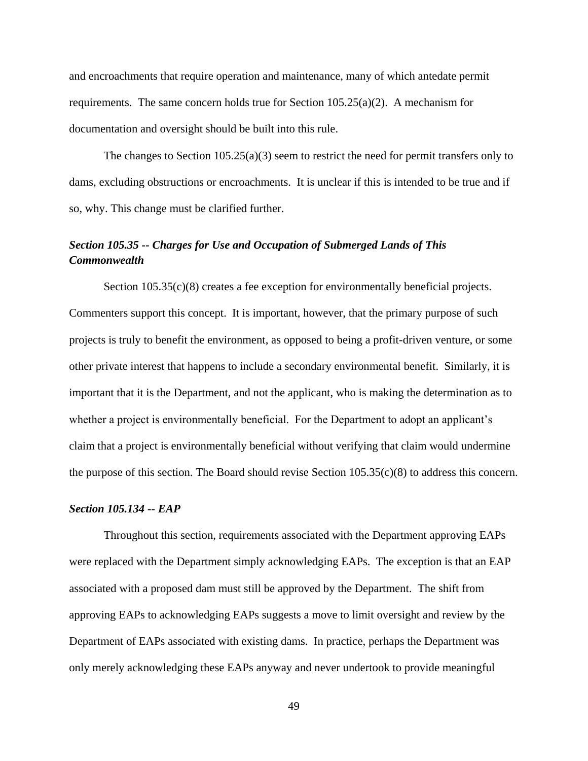and encroachments that require operation and maintenance, many of which antedate permit requirements. The same concern holds true for Section  $105.25(a)(2)$ . A mechanism for documentation and oversight should be built into this rule.

The changes to Section 105.25(a)(3) seem to restrict the need for permit transfers only to dams, excluding obstructions or encroachments. It is unclear if this is intended to be true and if so, why. This change must be clarified further.

# <span id="page-51-0"></span>*Section 105.35 -- Charges for Use and Occupation of Submerged Lands of This Commonwealth*

Section 105.35(c)(8) creates a fee exception for environmentally beneficial projects. Commenters support this concept. It is important, however, that the primary purpose of such projects is truly to benefit the environment, as opposed to being a profit-driven venture, or some other private interest that happens to include a secondary environmental benefit. Similarly, it is important that it is the Department, and not the applicant, who is making the determination as to whether a project is environmentally beneficial. For the Department to adopt an applicant's claim that a project is environmentally beneficial without verifying that claim would undermine the purpose of this section. The Board should revise Section 105.35(c)(8) to address this concern.

## <span id="page-51-1"></span>*Section 105.134 -- EAP*

Throughout this section, requirements associated with the Department approving EAPs were replaced with the Department simply acknowledging EAPs. The exception is that an EAP associated with a proposed dam must still be approved by the Department. The shift from approving EAPs to acknowledging EAPs suggests a move to limit oversight and review by the Department of EAPs associated with existing dams. In practice, perhaps the Department was only merely acknowledging these EAPs anyway and never undertook to provide meaningful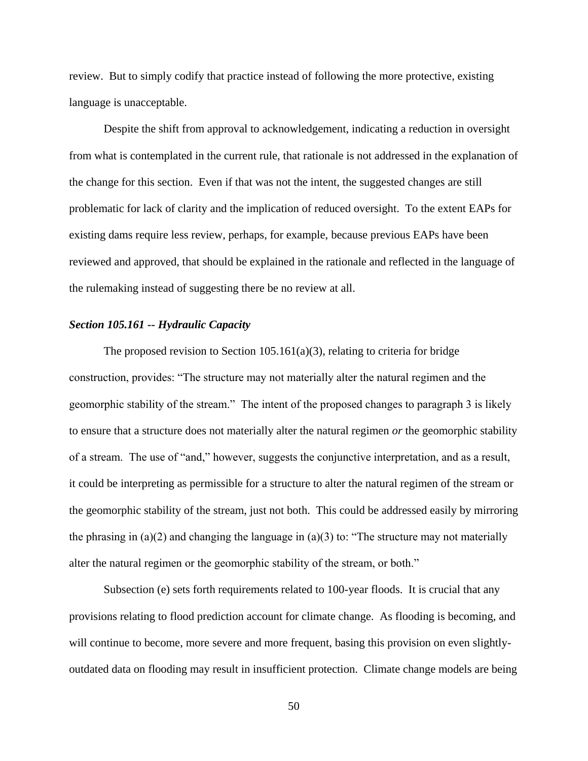review. But to simply codify that practice instead of following the more protective, existing language is unacceptable.

Despite the shift from approval to acknowledgement, indicating a reduction in oversight from what is contemplated in the current rule, that rationale is not addressed in the explanation of the change for this section. Even if that was not the intent, the suggested changes are still problematic for lack of clarity and the implication of reduced oversight. To the extent EAPs for existing dams require less review, perhaps, for example, because previous EAPs have been reviewed and approved, that should be explained in the rationale and reflected in the language of the rulemaking instead of suggesting there be no review at all.

#### <span id="page-52-0"></span>*Section 105.161 -- Hydraulic Capacity*

The proposed revision to Section  $105.161(a)(3)$ , relating to criteria for bridge construction, provides: "The structure may not materially alter the natural regimen and the geomorphic stability of the stream." The intent of the proposed changes to paragraph 3 is likely to ensure that a structure does not materially alter the natural regimen *or* the geomorphic stability of a stream. The use of "and," however, suggests the conjunctive interpretation, and as a result, it could be interpreting as permissible for a structure to alter the natural regimen of the stream or the geomorphic stability of the stream, just not both. This could be addressed easily by mirroring the phrasing in  $(a)(2)$  and changing the language in  $(a)(3)$  to: "The structure may not materially alter the natural regimen or the geomorphic stability of the stream, or both."

Subsection (e) sets forth requirements related to 100-year floods. It is crucial that any provisions relating to flood prediction account for climate change. As flooding is becoming, and will continue to become, more severe and more frequent, basing this provision on even slightlyoutdated data on flooding may result in insufficient protection. Climate change models are being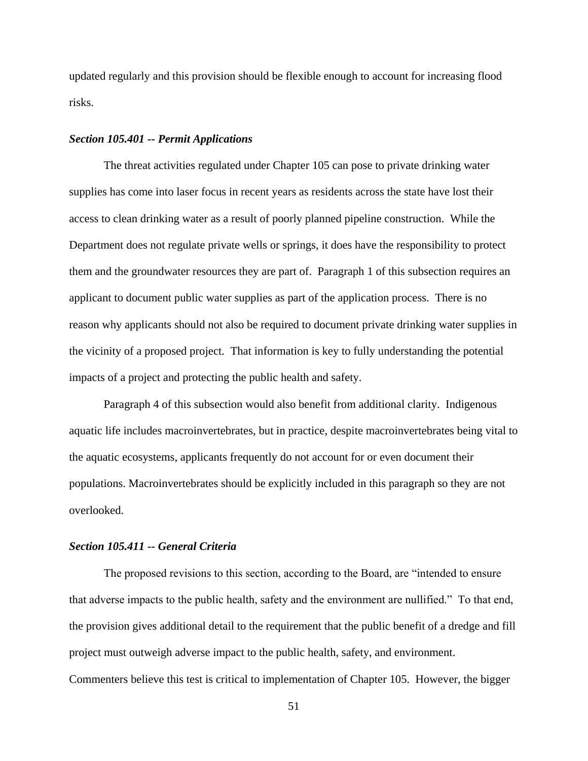updated regularly and this provision should be flexible enough to account for increasing flood risks.

#### <span id="page-53-0"></span>*Section 105.401 -- Permit Applications*

The threat activities regulated under Chapter 105 can pose to private drinking water supplies has come into laser focus in recent years as residents across the state have lost their access to clean drinking water as a result of poorly planned pipeline construction. While the Department does not regulate private wells or springs, it does have the responsibility to protect them and the groundwater resources they are part of. Paragraph 1 of this subsection requires an applicant to document public water supplies as part of the application process. There is no reason why applicants should not also be required to document private drinking water supplies in the vicinity of a proposed project. That information is key to fully understanding the potential impacts of a project and protecting the public health and safety.

Paragraph 4 of this subsection would also benefit from additional clarity. Indigenous aquatic life includes macroinvertebrates, but in practice, despite macroinvertebrates being vital to the aquatic ecosystems, applicants frequently do not account for or even document their populations. Macroinvertebrates should be explicitly included in this paragraph so they are not overlooked.

### <span id="page-53-1"></span>*Section 105.411 -- General Criteria*

The proposed revisions to this section, according to the Board, are "intended to ensure that adverse impacts to the public health, safety and the environment are nullified." To that end, the provision gives additional detail to the requirement that the public benefit of a dredge and fill project must outweigh adverse impact to the public health, safety, and environment. Commenters believe this test is critical to implementation of Chapter 105. However, the bigger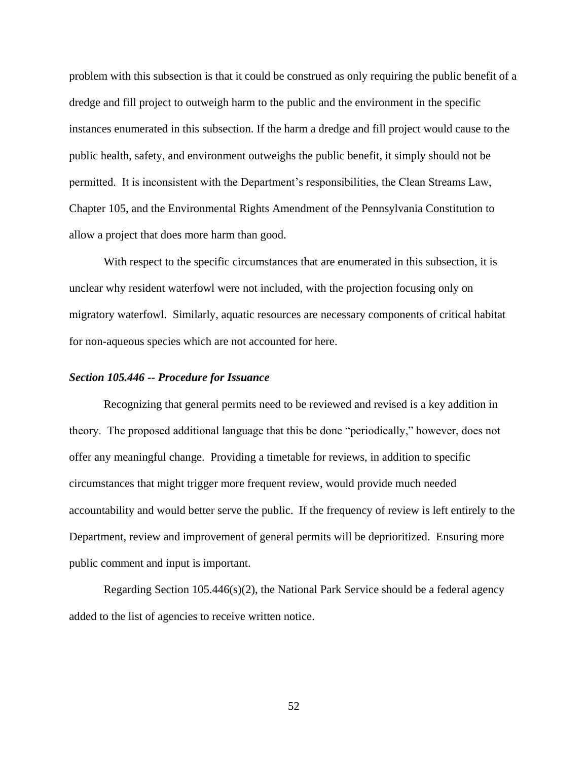problem with this subsection is that it could be construed as only requiring the public benefit of a dredge and fill project to outweigh harm to the public and the environment in the specific instances enumerated in this subsection. If the harm a dredge and fill project would cause to the public health, safety, and environment outweighs the public benefit, it simply should not be permitted. It is inconsistent with the Department's responsibilities, the Clean Streams Law, Chapter 105, and the Environmental Rights Amendment of the Pennsylvania Constitution to allow a project that does more harm than good.

With respect to the specific circumstances that are enumerated in this subsection, it is unclear why resident waterfowl were not included, with the projection focusing only on migratory waterfowl. Similarly, aquatic resources are necessary components of critical habitat for non-aqueous species which are not accounted for here.

### <span id="page-54-0"></span>*Section 105.446 -- Procedure for Issuance*

Recognizing that general permits need to be reviewed and revised is a key addition in theory. The proposed additional language that this be done "periodically," however, does not offer any meaningful change. Providing a timetable for reviews, in addition to specific circumstances that might trigger more frequent review, would provide much needed accountability and would better serve the public. If the frequency of review is left entirely to the Department, review and improvement of general permits will be deprioritized. Ensuring more public comment and input is important.

<span id="page-54-1"></span>Regarding Section 105.446(s)(2), the National Park Service should be a federal agency added to the list of agencies to receive written notice.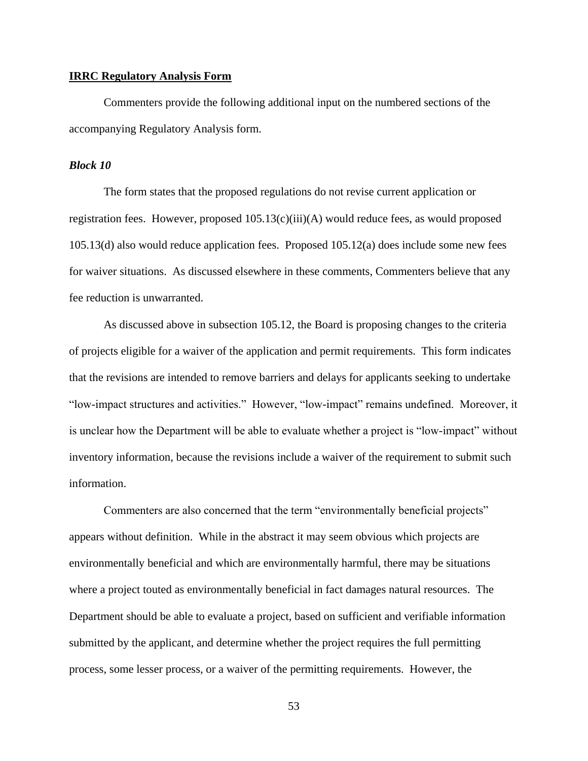### **IRRC Regulatory Analysis Form**

Commenters provide the following additional input on the numbered sections of the accompanying Regulatory Analysis form.

#### <span id="page-55-0"></span>*Block 10*

The form states that the proposed regulations do not revise current application or registration fees. However, proposed 105.13(c)(iii)(A) would reduce fees, as would proposed 105.13(d) also would reduce application fees. Proposed 105.12(a) does include some new fees for waiver situations. As discussed elsewhere in these comments, Commenters believe that any fee reduction is unwarranted.

As discussed above in subsection 105.12, the Board is proposing changes to the criteria of projects eligible for a waiver of the application and permit requirements. This form indicates that the revisions are intended to remove barriers and delays for applicants seeking to undertake "low-impact structures and activities." However, "low-impact" remains undefined. Moreover, it is unclear how the Department will be able to evaluate whether a project is "low-impact" without inventory information, because the revisions include a waiver of the requirement to submit such information.

Commenters are also concerned that the term "environmentally beneficial projects" appears without definition. While in the abstract it may seem obvious which projects are environmentally beneficial and which are environmentally harmful, there may be situations where a project touted as environmentally beneficial in fact damages natural resources. The Department should be able to evaluate a project, based on sufficient and verifiable information submitted by the applicant, and determine whether the project requires the full permitting process, some lesser process, or a waiver of the permitting requirements. However, the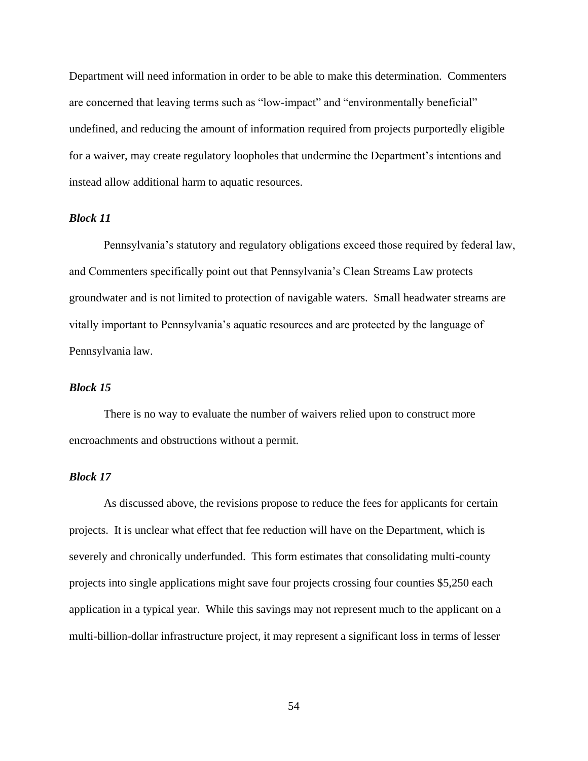Department will need information in order to be able to make this determination. Commenters are concerned that leaving terms such as "low-impact" and "environmentally beneficial" undefined, and reducing the amount of information required from projects purportedly eligible for a waiver, may create regulatory loopholes that undermine the Department's intentions and instead allow additional harm to aquatic resources.

## <span id="page-56-0"></span>*Block 11*

Pennsylvania's statutory and regulatory obligations exceed those required by federal law, and Commenters specifically point out that Pennsylvania's Clean Streams Law protects groundwater and is not limited to protection of navigable waters. Small headwater streams are vitally important to Pennsylvania's aquatic resources and are protected by the language of Pennsylvania law.

# <span id="page-56-1"></span>*Block 15*

There is no way to evaluate the number of waivers relied upon to construct more encroachments and obstructions without a permit.

## <span id="page-56-2"></span>*Block 17*

As discussed above, the revisions propose to reduce the fees for applicants for certain projects. It is unclear what effect that fee reduction will have on the Department, which is severely and chronically underfunded. This form estimates that consolidating multi-county projects into single applications might save four projects crossing four counties \$5,250 each application in a typical year. While this savings may not represent much to the applicant on a multi-billion-dollar infrastructure project, it may represent a significant loss in terms of lesser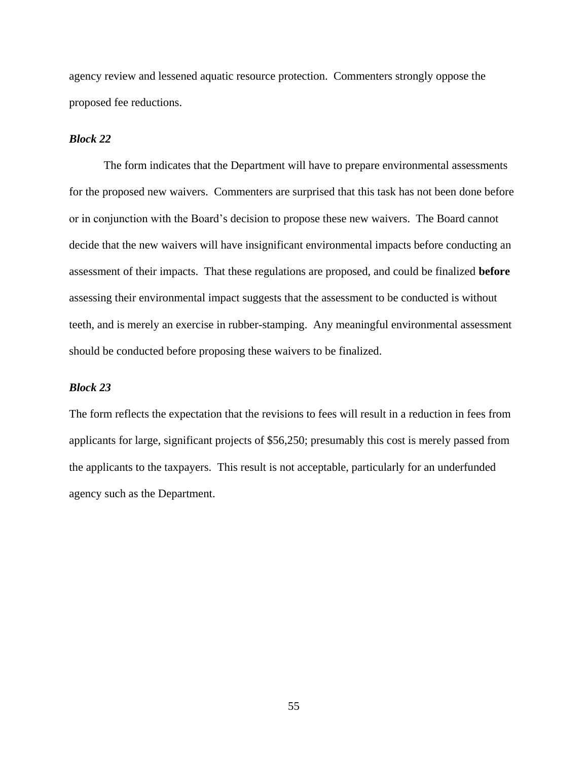agency review and lessened aquatic resource protection. Commenters strongly oppose the proposed fee reductions.

## <span id="page-57-0"></span>*Block 22*

The form indicates that the Department will have to prepare environmental assessments for the proposed new waivers. Commenters are surprised that this task has not been done before or in conjunction with the Board's decision to propose these new waivers. The Board cannot decide that the new waivers will have insignificant environmental impacts before conducting an assessment of their impacts. That these regulations are proposed, and could be finalized **before**  assessing their environmental impact suggests that the assessment to be conducted is without teeth, and is merely an exercise in rubber-stamping. Any meaningful environmental assessment should be conducted before proposing these waivers to be finalized.

## <span id="page-57-1"></span>*Block 23*

<span id="page-57-2"></span>The form reflects the expectation that the revisions to fees will result in a reduction in fees from applicants for large, significant projects of \$56,250; presumably this cost is merely passed from the applicants to the taxpayers. This result is not acceptable, particularly for an underfunded agency such as the Department.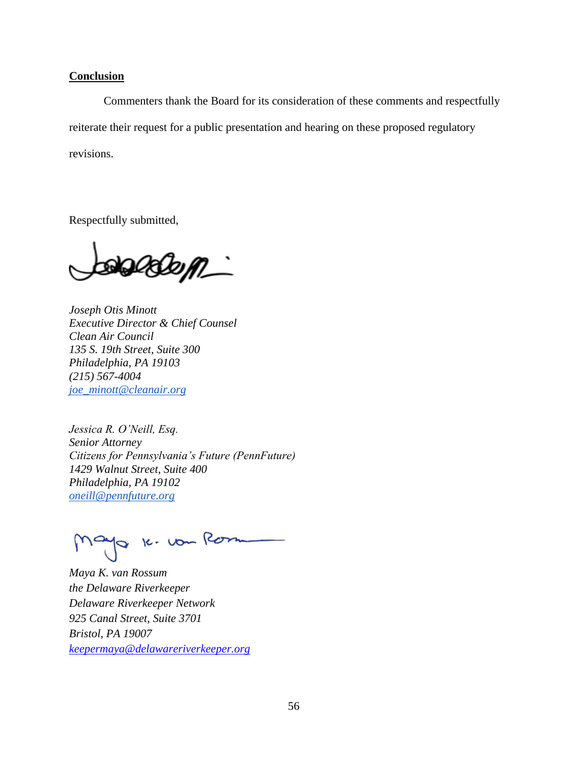### **Conclusion**

Commenters thank the Board for its consideration of these comments and respectfully reiterate their request for a public presentation and hearing on these proposed regulatory revisions.

Respectfully submitted,

aadom\_`

*Joseph Otis Minott Executive Director & Chief Counsel Clean Air Council 135 S. 19th Street, Suite 300 Philadelphia, PA 19103 (215) 567-4004 [joe\\_minott@cleanair.org](mailto:joe_minott@cleanair.org)*

*Jessica R. O'Neill, Esq. Senior Attorney Citizens for Pennsylvania's Future (PennFuture) 1429 Walnut Street, Suite 400 Philadelphia, PA 19102 oneill@pennfuture.org*

Mayo 16. vou Rom

*Maya K. van Rossum the Delaware Riverkeeper Delaware Riverkeeper Network 925 Canal Street, Suite 3701 Bristol, PA 19007 [keepermaya@delawareriverkeeper.org](mailto:keepermaya@delawareriverkeeper.org)*